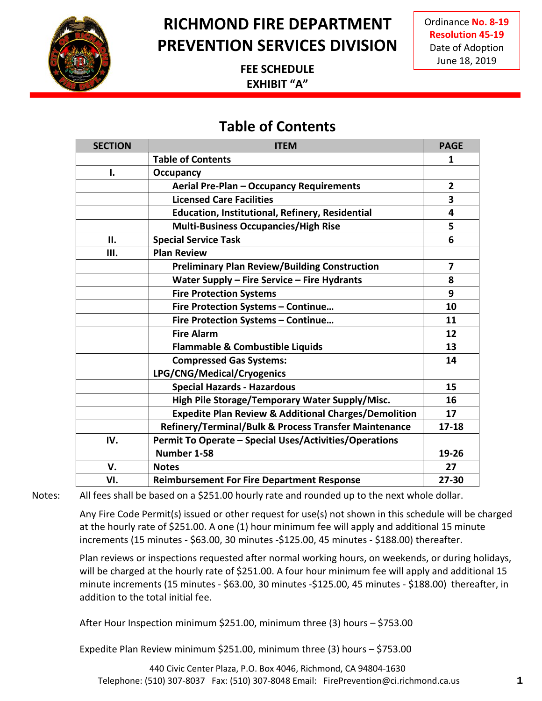

Ordinance **No. 8-19 Resolution 45-19** Date of Adoption June 18, 2019

### **FEE SCHEDULE EXHIBIT "A"**

### **Table of Contents**

| <b>SECTION</b> | <b>ITEM</b>                                                     | <b>PAGE</b>             |
|----------------|-----------------------------------------------------------------|-------------------------|
|                | <b>Table of Contents</b>                                        | 1                       |
| I.             | Occupancy                                                       |                         |
|                | Aerial Pre-Plan - Occupancy Requirements                        | $\overline{2}$          |
|                | <b>Licensed Care Facilities</b>                                 | $\overline{\mathbf{3}}$ |
|                | Education, Institutional, Refinery, Residential                 | $\overline{\mathbf{4}}$ |
|                | <b>Multi-Business Occupancies/High Rise</b>                     | 5                       |
| Н.             | <b>Special Service Task</b>                                     | 6                       |
| Ш.             | <b>Plan Review</b>                                              |                         |
|                | <b>Preliminary Plan Review/Building Construction</b>            | 7                       |
|                | Water Supply - Fire Service - Fire Hydrants                     | 8                       |
|                | <b>Fire Protection Systems</b>                                  | 9                       |
|                | Fire Protection Systems - Continue                              | 10                      |
|                | Fire Protection Systems - Continue                              | 11                      |
|                | <b>Fire Alarm</b>                                               | 12                      |
|                | <b>Flammable &amp; Combustible Liquids</b>                      | 13                      |
|                | <b>Compressed Gas Systems:</b>                                  | 14                      |
|                | LPG/CNG/Medical/Cryogenics                                      |                         |
|                | <b>Special Hazards - Hazardous</b>                              | 15                      |
|                | High Pile Storage/Temporary Water Supply/Misc.                  | 16                      |
|                | <b>Expedite Plan Review &amp; Additional Charges/Demolition</b> | 17                      |
|                | Refinery/Terminal/Bulk & Process Transfer Maintenance           | $17 - 18$               |
| IV.            | Permit To Operate - Special Uses/Activities/Operations          |                         |
|                | Number 1-58                                                     | 19-26                   |
| V.             | <b>Notes</b>                                                    | 27                      |
| VI.            | <b>Reimbursement For Fire Department Response</b>               | 27-30                   |

Notes: All fees shall be based on a \$251.00 hourly rate and rounded up to the next whole dollar.

Any Fire Code Permit(s) issued or other request for use(s) not shown in this schedule will be charged at the hourly rate of \$251.00. A one (1) hour minimum fee will apply and additional 15 minute increments (15 minutes - \$63.00, 30 minutes -\$125.00, 45 minutes - \$188.00) thereafter.

Plan reviews or inspections requested after normal working hours, on weekends, or during holidays, will be charged at the hourly rate of \$251.00. A four hour minimum fee will apply and additional 15 minute increments (15 minutes - \$63.00, 30 minutes -\$125.00, 45 minutes - \$188.00) thereafter, in addition to the total initial fee.

After Hour Inspection minimum \$251.00, minimum three (3) hours – \$753.00

Expedite Plan Review minimum \$251.00, minimum three (3) hours – \$753.00

440 Civic Center Plaza, P.O. Box 4046, Richmond, CA 94804-1630 Telephone: (510) 307-8037 Fax: (510) 307-8048 Email: FirePrevention@ci.richmond.ca.us **1**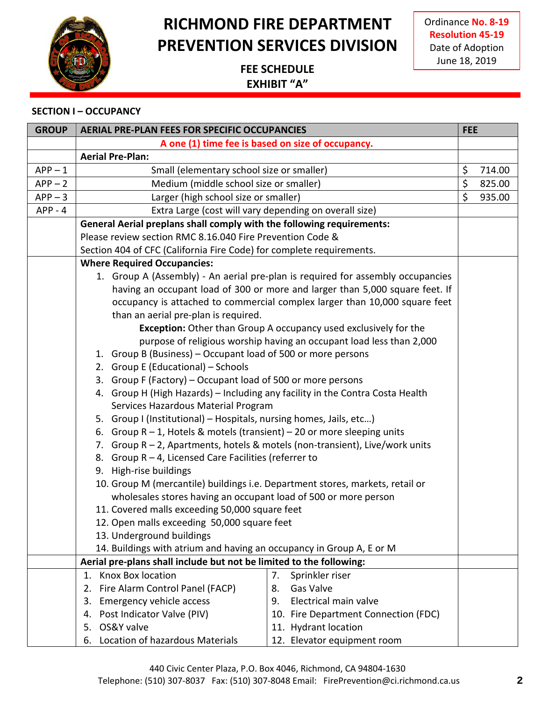

Ordinance **No. 8-19 Resolution 45-19** Date of Adoption June 18, 2019

### **FEE SCHEDULE EXHIBIT "A"**

#### **SECTION I – OCCUPANCY**

| <b>GROUP</b> | <b>AERIAL PRE-PLAN FEES FOR SPECIFIC OCCUPANCIES</b>                          |                                                                                 | <b>FEE</b> |        |
|--------------|-------------------------------------------------------------------------------|---------------------------------------------------------------------------------|------------|--------|
|              | A one (1) time fee is based on size of occupancy.                             |                                                                                 |            |        |
|              | <b>Aerial Pre-Plan:</b>                                                       |                                                                                 |            |        |
| $APP-1$      | Small (elementary school size or smaller)                                     |                                                                                 | \$         | 714.00 |
| $APP - 2$    | Medium (middle school size or smaller)                                        |                                                                                 | \$         | 825.00 |
| $APP-3$      | Larger (high school size or smaller)                                          |                                                                                 | \$         | 935.00 |
| $APP - 4$    | Extra Large (cost will vary depending on overall size)                        |                                                                                 |            |        |
|              | General Aerial preplans shall comply with the following requirements:         |                                                                                 |            |        |
|              | Please review section RMC 8.16.040 Fire Prevention Code &                     |                                                                                 |            |        |
|              | Section 404 of CFC (California Fire Code) for complete requirements.          |                                                                                 |            |        |
|              | <b>Where Required Occupancies:</b>                                            |                                                                                 |            |        |
|              |                                                                               | 1. Group A (Assembly) - An aerial pre-plan is required for assembly occupancies |            |        |
|              |                                                                               | having an occupant load of 300 or more and larger than 5,000 square feet. If    |            |        |
|              |                                                                               | occupancy is attached to commercial complex larger than 10,000 square feet      |            |        |
|              | than an aerial pre-plan is required.                                          |                                                                                 |            |        |
|              |                                                                               | <b>Exception:</b> Other than Group A occupancy used exclusively for the         |            |        |
|              |                                                                               | purpose of religious worship having an occupant load less than 2,000            |            |        |
|              | 1. Group B (Business) - Occupant load of 500 or more persons                  |                                                                                 |            |        |
|              | 2. Group E (Educational) - Schools                                            |                                                                                 |            |        |
|              | 3. Group F (Factory) - Occupant load of 500 or more persons                   |                                                                                 |            |        |
|              | 4. Group H (High Hazards) - Including any facility in the Contra Costa Health |                                                                                 |            |        |
|              | Services Hazardous Material Program                                           |                                                                                 |            |        |
|              | 5. Group I (Institutional) - Hospitals, nursing homes, Jails, etc)            |                                                                                 |            |        |
|              | 6. Group $R - 1$ , Hotels & motels (transient) – 20 or more sleeping units    |                                                                                 |            |        |
|              | 7. Group R - 2, Apartments, hotels & motels (non-transient), Live/work units  |                                                                                 |            |        |
|              | 8. Group R - 4, Licensed Care Facilities (referrer to                         |                                                                                 |            |        |
|              | 9. High-rise buildings                                                        |                                                                                 |            |        |
|              | 10. Group M (mercantile) buildings i.e. Department stores, markets, retail or |                                                                                 |            |        |
|              | wholesales stores having an occupant load of 500 or more person               |                                                                                 |            |        |
|              | 11. Covered malls exceeding 50,000 square feet                                |                                                                                 |            |        |
|              | 12. Open malls exceeding 50,000 square feet                                   |                                                                                 |            |        |
|              | 13. Underground buildings                                                     |                                                                                 |            |        |
|              | 14. Buildings with atrium and having an occupancy in Group A, E or M          |                                                                                 |            |        |
|              | Aerial pre-plans shall include but not be limited to the following:           |                                                                                 |            |        |
|              | <b>Knox Box location</b><br>1.                                                | Sprinkler riser<br>7.                                                           |            |        |
|              | Fire Alarm Control Panel (FACP)<br>2.                                         | <b>Gas Valve</b><br>8.                                                          |            |        |
|              | Emergency vehicle access<br>3.                                                | Electrical main valve<br>9.                                                     |            |        |
|              | Post Indicator Valve (PIV)<br>4.<br>OS&Y valve<br>5.                          | 10. Fire Department Connection (FDC)                                            |            |        |
|              |                                                                               | 11. Hydrant location                                                            |            |        |
|              | Location of hazardous Materials<br>6.                                         | 12. Elevator equipment room                                                     |            |        |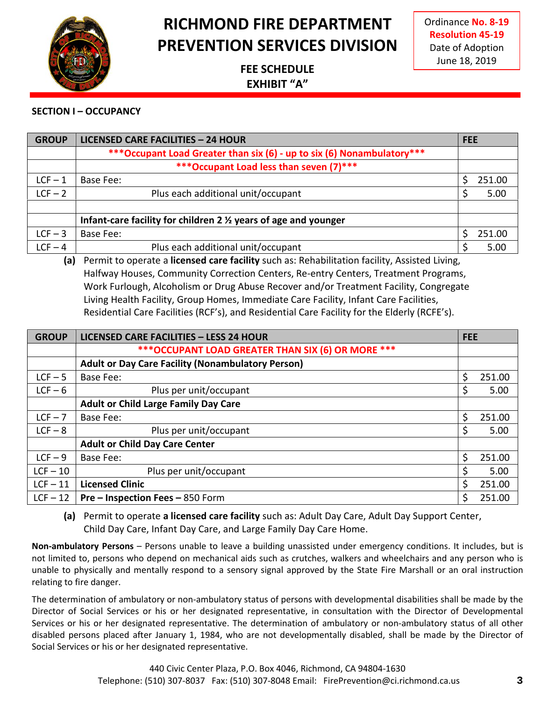

Ordinance **No. 8-19 Resolution 45-19** Date of Adoption June 18, 2019

### **FEE SCHEDULE EXHIBIT "A"**

#### **SECTION I – OCCUPANCY**

| <b>GROUP</b> | <b>LICENSED CARE FACILITIES - 24 HOUR</b>                               | <b>FEE</b>  |
|--------------|-------------------------------------------------------------------------|-------------|
|              | *** Occupant Load Greater than six (6) - up to six (6) Nonambulatory*** |             |
|              | ***Occupant Load less than seven (7)***                                 |             |
| $LCF - 1$    | Base Fee:                                                               | 251.00<br>S |
| $LCF - 2$    | Plus each additional unit/occupant                                      | \$<br>5.00  |
|              |                                                                         |             |
|              | Infant-care facility for children 2 % years of age and younger          |             |
| $LCF - 3$    | Base Fee:                                                               | 251.00      |
| $LCF - 4$    | Plus each additional unit/occupant                                      | 5.00        |

**(a)** Permit to operate a **licensed care facility** such as: Rehabilitation facility, Assisted Living, Halfway Houses, Community Correction Centers, Re-entry Centers, Treatment Programs, Work Furlough, Alcoholism or Drug Abuse Recover and/or Treatment Facility, Congregate Living Health Facility, Group Homes, Immediate Care Facility, Infant Care Facilities, Residential Care Facilities (RCF's), and Residential Care Facility for the Elderly (RCFE's).

| <b>GROUP</b> | <b>LICENSED CARE FACILITIES - LESS 24 HOUR</b>           | <b>FEE</b> |        |
|--------------|----------------------------------------------------------|------------|--------|
|              | *** OCCUPANT LOAD GREATER THAN SIX (6) OR MORE ***       |            |        |
|              | <b>Adult or Day Care Facility (Nonambulatory Person)</b> |            |        |
| $LCF - 5$    | Base Fee:                                                | \$         | 251.00 |
| $LCF - 6$    | Plus per unit/occupant                                   | \$         | 5.00   |
|              | <b>Adult or Child Large Family Day Care</b>              |            |        |
| $LCF - 7$    | Base Fee:                                                | \$         | 251.00 |
| $LCF - 8$    | Plus per unit/occupant                                   | \$         | 5.00   |
|              | <b>Adult or Child Day Care Center</b>                    |            |        |
| $LCF - 9$    | Base Fee:                                                | \$         | 251.00 |
| $LCF - 10$   | Plus per unit/occupant                                   | \$         | 5.00   |
| $LCF - 11$   | <b>Licensed Clinic</b>                                   | S          | 251.00 |
| $LCF - 12$   | Pre – Inspection Fees – 850 Form                         | Ś          | 251.00 |

**(a)** Permit to operate **a licensed care facility** such as: Adult Day Care, Adult Day Support Center, Child Day Care, Infant Day Care, and Large Family Day Care Home.

**Non-ambulatory Persons** – Persons unable to leave a building unassisted under emergency conditions. It includes, but is not limited to, persons who depend on mechanical aids such as crutches, walkers and wheelchairs and any person who is unable to physically and mentally respond to a sensory signal approved by the State Fire Marshall or an oral instruction relating to fire danger.

The determination of ambulatory or non-ambulatory status of persons with developmental disabilities shall be made by the Director of Social Services or his or her designated representative, in consultation with the Director of Developmental Services or his or her designated representative. The determination of ambulatory or non-ambulatory status of all other disabled persons placed after January 1, 1984, who are not developmentally disabled, shall be made by the Director of Social Services or his or her designated representative.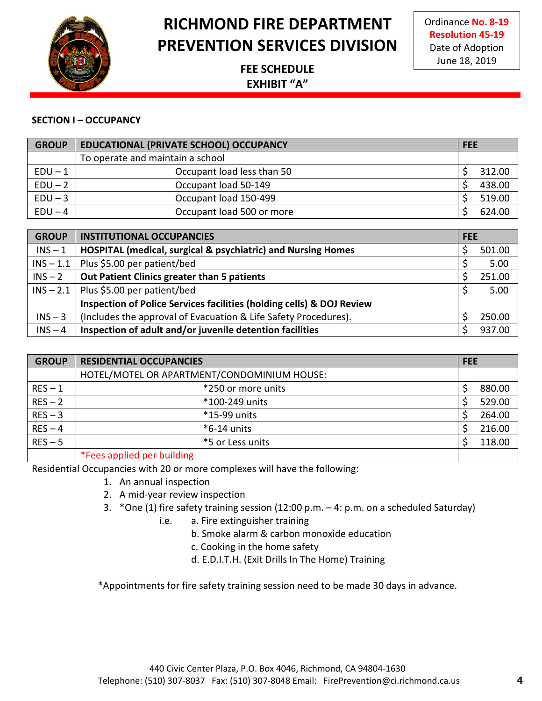

Ordinance **No. 8-19 Resolution 45-19** Date of Adoption June 18, 2019

### **FEE SCHEDULE EXHIBIT "A"**

#### **SECTION I – OCCUPANCY**

| <b>GROUP</b> | <b>EDUCATIONAL (PRIVATE SCHOOL) OCCUPANCY</b> | <b>FEE</b> |  |
|--------------|-----------------------------------------------|------------|--|
|              | To operate and maintain a school              |            |  |
| $EDU - 1$    | Occupant load less than 50                    | 312.00     |  |
| $EDU - 2$    | Occupant load 50-149                          | 438.00     |  |
| $EDU - 3$    | Occupant load 150-499                         | 519.00     |  |
| $EDU - 4$    | Occupant load 500 or more                     | 624.00     |  |

| <b>GROUP</b> | <b>INSTITUTIONAL OCCUPANCIES</b>                                        | <b>FEE</b> |        |
|--------------|-------------------------------------------------------------------------|------------|--------|
| $INS - 1$    | <b>HOSPITAL (medical, surgical &amp; psychiatric) and Nursing Homes</b> |            | 501.00 |
| $INS - 1.1$  | Plus \$5.00 per patient/bed                                             |            | 5.00   |
| $INS - 2$    | Out Patient Clinics greater than 5 patients                             |            | 251.00 |
|              | $INS - 2.1$   Plus \$5.00 per patient/bed                               |            | 5.00   |
|              | Inspection of Police Services facilities (holding cells) & DOJ Review   |            |        |
| $INS - 3$    | (Includes the approval of Evacuation & Life Safety Procedures).         |            | 250.00 |
| $INS - 4$    | Inspection of adult and/or juvenile detention facilities                |            | 937.00 |

| <b>GROUP</b> | <b>RESIDENTIAL OCCUPANCIES</b>              | <b>FEE</b> |
|--------------|---------------------------------------------|------------|
|              | HOTEL/MOTEL OR APARTMENT/CONDOMINIUM HOUSE: |            |
| $RES - 1$    | *250 or more units                          | 880.00     |
| $RES - 2$    | *100-249 units                              | 529.00     |
| $RES - 3$    | *15-99 units                                | 264.00     |
| $RES-4$      | $*6-14$ units                               | 216.00     |
| $RES - 5$    | *5 or Less units                            | 118.00     |
|              | *Fees applied per building                  |            |

Residential Occupancies with 20 or more complexes will have the following:

- 1. An annual inspection
- 2. A mid-year review inspection
- 3. \*One (1) fire safety training session (12:00 p.m. 4: p.m. on a scheduled Saturday)
	- i.e. a. Fire extinguisher training
		- b. Smoke alarm & carbon monoxide education
		- c. Cooking in the home safety
		- d. E.D.I.T.H. (Exit Drills In The Home) Training

\*Appointments for fire safety training session need to be made 30 days in advance.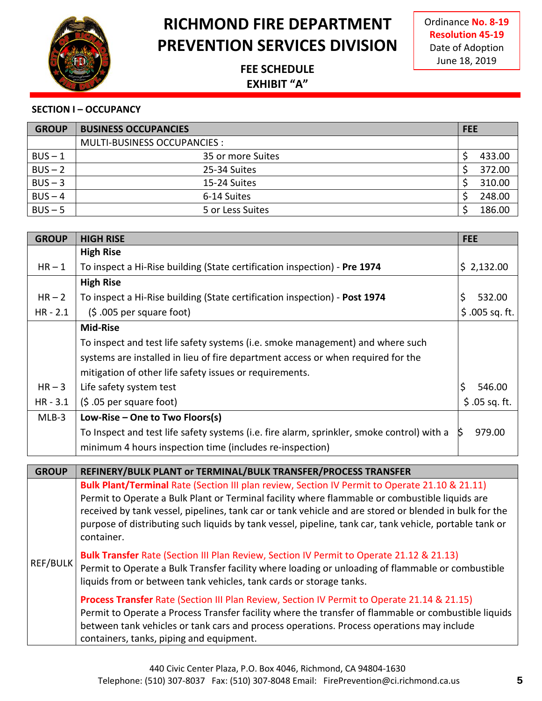

Ordinance **No. 8-19 Resolution 45-19** Date of Adoption June 18, 2019

### **FEE SCHEDULE EXHIBIT "A"**

#### **SECTION I – OCCUPANCY**

| <b>GROUP</b> | <b>BUSINESS OCCUPANCIES</b>  | <b>FEE</b> |  |
|--------------|------------------------------|------------|--|
|              | MULTI-BUSINESS OCCUPANCIES : |            |  |
| $BUS - 1$    | 35 or more Suites            | 433.00     |  |
| $BUS - 2$    | 25-34 Suites                 | 372.00     |  |
| $BUS - 3$    | 15-24 Suites                 | 310.00     |  |
| $BUS - 4$    | 6-14 Suites                  | 248.00     |  |
| $BUS - 5$    | 5 or Less Suites             | 186.00     |  |

| <b>GROUP</b> | <b>HIGH RISE</b>                                                                                                                                                 | <b>FEE</b>        |
|--------------|------------------------------------------------------------------------------------------------------------------------------------------------------------------|-------------------|
|              | <b>High Rise</b>                                                                                                                                                 |                   |
| $HR - 1$     | To inspect a Hi-Rise building (State certification inspection) - Pre 1974                                                                                        | \$2,132.00        |
|              | <b>High Rise</b>                                                                                                                                                 |                   |
| $HR - 2$     | To inspect a Hi-Rise building (State certification inspection) - Post 1974                                                                                       | \$<br>532.00      |
| $HR - 2.1$   | $(5.005$ per square foot)                                                                                                                                        | $$.005$ sq. ft.   |
|              | <b>Mid-Rise</b>                                                                                                                                                  |                   |
|              | To inspect and test life safety systems (i.e. smoke management) and where such                                                                                   |                   |
|              | systems are installed in lieu of fire department access or when required for the                                                                                 |                   |
|              | mitigation of other life safety issues or requirements.                                                                                                          |                   |
| $HR - 3$     | Life safety system test                                                                                                                                          | $\zeta$<br>546.00 |
| $HR - 3.1$   | (\$ .05 per square foot)                                                                                                                                         | $$.05$ sq. ft.    |
| $MLB-3$      | Low-Rise - One to Two Floors(s)                                                                                                                                  |                   |
|              | To Inspect and test life safety systems (i.e. fire alarm, sprinkler, smoke control) with a                                                                       | Ŝ.<br>979.00      |
|              | minimum 4 hours inspection time (includes re-inspection)                                                                                                         |                   |
|              |                                                                                                                                                                  |                   |
| <b>GROUP</b> | REFINERY/BULK PLANT or TERMINAL/BULK TRANSFER/PROCESS TRANSFER<br>Bulk Plant/Terminal Rate (Section III plan review, Section IV Permit to Operate 21.10 & 21.11) |                   |
|              | Permit to Operate a Bulk Plant or Terminal facility where flammable or combustible liquids are                                                                   |                   |
|              | received by tank vessel, pipelines, tank car or tank vehicle and are stored or blended in bulk for the                                                           |                   |
|              | purpose of distributing such liquids by tank vessel, pipeline, tank car, tank vehicle, portable tank or                                                          |                   |
|              | container.                                                                                                                                                       |                   |
|              | Bulk Transfer Rate (Section III Plan Review, Section IV Permit to Operate 21.12 & 21.13)                                                                         |                   |
| REF/BULK     | Permit to Operate a Bulk Transfer facility where loading or unloading of flammable or combustible                                                                |                   |
|              | liquids from or between tank vehicles, tank cards or storage tanks.                                                                                              |                   |
|              | Process Transfer Rate (Section III Plan Review, Section IV Permit to Operate 21.14 & 21.15)                                                                      |                   |
|              | Permit to Operate a Process Transfer facility where the transfer of flammable or combustible liquids                                                             |                   |
|              | between tank vehicles or tank cars and process operations. Process operations may include                                                                        |                   |
|              | containers, tanks, piping and equipment.                                                                                                                         |                   |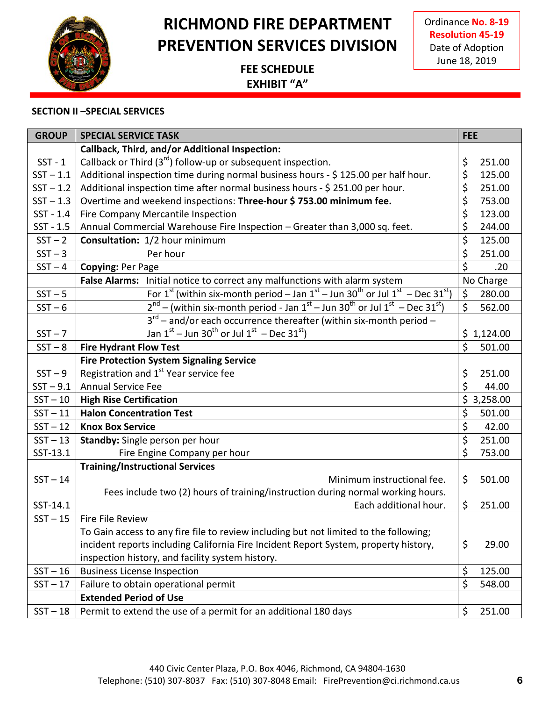

Ordinance **No. 8-19 Resolution 45-19** Date of Adoption June 18, 2019

### **FEE SCHEDULE EXHIBIT "A"**

#### **SECTION II –SPECIAL SERVICES**

| <b>GROUP</b> | <b>SPECIAL SERVICE TASK</b>                                                                                          | <b>FEE</b>     |
|--------------|----------------------------------------------------------------------------------------------------------------------|----------------|
|              | Callback, Third, and/or Additional Inspection:                                                                       |                |
| $SST - 1$    | Callback or Third $(3^{rd})$ follow-up or subsequent inspection.                                                     | \$<br>251.00   |
| $SST - 1.1$  | Additional inspection time during normal business hours - \$125.00 per half hour.                                    | \$<br>125.00   |
| $SST - 1.2$  | Additional inspection time after normal business hours - \$ 251.00 per hour.                                         | \$<br>251.00   |
| $SST - 1.3$  | Overtime and weekend inspections: Three-hour \$753.00 minimum fee.                                                   | \$<br>753.00   |
| $SST - 1.4$  | Fire Company Mercantile Inspection                                                                                   | \$<br>123.00   |
| $SST - 1.5$  | Annual Commercial Warehouse Fire Inspection - Greater than 3,000 sq. feet.                                           | \$<br>244.00   |
| $SST - 2$    | <b>Consultation:</b> 1/2 hour minimum                                                                                | \$<br>125.00   |
| $SST - 3$    | Per hour                                                                                                             | \$<br>251.00   |
| $SST - 4$    | Copying: Per Page                                                                                                    | $\zeta$<br>.20 |
|              | False Alarms: Initial notice to correct any malfunctions with alarm system                                           | No Charge      |
| $SST - 5$    | For $1^{st}$ (within six-month period – Jan $1^{st}$ – Jun 30 <sup>th</sup> or Jul $1^{st}$ – Dec 31 <sup>st</sup> ) | \$<br>280.00   |
| $SST - 6$    | $2^{nd}$ – (within six-month period - Jan $1^{st}$ – Jun 30 <sup>th</sup> or Jul $1^{st}$ – Dec 31 <sup>st</sup> )   | \$<br>562.00   |
|              | $3^{rd}$ – and/or each occurrence thereafter (within six-month period –                                              |                |
| $SST - 7$    | Jan $1^{st}$ – Jun 30 <sup>th</sup> or Jul $1^{st}$ – Dec 31 <sup>st</sup> )                                         | \$1,124.00     |
| $SST - 8$    | <b>Fire Hydrant Flow Test</b>                                                                                        | \$<br>501.00   |
|              | <b>Fire Protection System Signaling Service</b>                                                                      |                |
| $SST - 9$    | Registration and 1 <sup>st</sup> Year service fee                                                                    | \$<br>251.00   |
| $SST - 9.1$  | <b>Annual Service Fee</b>                                                                                            | \$<br>44.00    |
| $SST - 10$   | <b>High Rise Certification</b>                                                                                       | \$3,258.00     |
| $SST - 11$   | <b>Halon Concentration Test</b>                                                                                      | \$<br>501.00   |
| $SST - 12$   | <b>Knox Box Service</b>                                                                                              | \$<br>42.00    |
| $SST - 13$   | Standby: Single person per hour                                                                                      | \$<br>251.00   |
| SST-13.1     | Fire Engine Company per hour                                                                                         | \$<br>753.00   |
|              | <b>Training/Instructional Services</b>                                                                               |                |
| $SST - 14$   | Minimum instructional fee.                                                                                           | \$<br>501.00   |
|              | Fees include two (2) hours of training/instruction during normal working hours.                                      |                |
| SST-14.1     | Each additional hour.                                                                                                | \$<br>251.00   |
| $SST - 15$   | Fire File Review                                                                                                     |                |
|              | To Gain access to any fire file to review including but not limited to the following;                                |                |
|              | incident reports including California Fire Incident Report System, property history,                                 | \$<br>29.00    |
|              | inspection history, and facility system history.                                                                     |                |
| $SST - 16$   | <b>Business License Inspection</b>                                                                                   | \$<br>125.00   |
| $SST - 17$   | Failure to obtain operational permit                                                                                 | \$<br>548.00   |
|              | <b>Extended Period of Use</b>                                                                                        |                |
| $SST - 18$   | Permit to extend the use of a permit for an additional 180 days                                                      | \$<br>251.00   |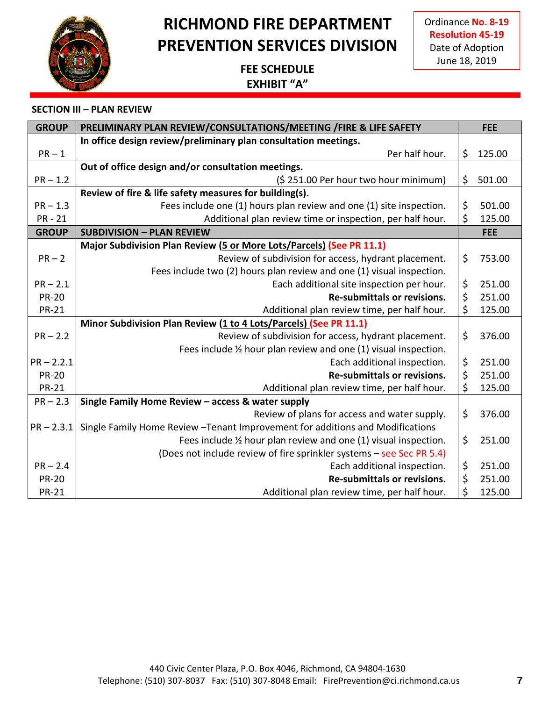

Ordinance **No. 8-19 Resolution 45-19** Date of Adoption June 18, 2019

### **FEE SCHEDULE EXHIBIT "A"**

| <b>GROUP</b> | PRELIMINARY PLAN REVIEW/CONSULTATIONS/MEETING / FIRE & LIFE SAFETY             | <b>FEE</b>   |
|--------------|--------------------------------------------------------------------------------|--------------|
|              | In office design review/preliminary plan consultation meetings.                |              |
| $PR-1$       | Per half hour.                                                                 | \$<br>125.00 |
|              | Out of office design and/or consultation meetings.                             |              |
| $PR - 1.2$   | (\$251.00 Per hour two hour minimum)                                           | \$<br>501.00 |
|              | Review of fire & life safety measures for building(s).                         |              |
| $PR - 1.3$   | Fees include one (1) hours plan review and one (1) site inspection.            | \$<br>501.00 |
| <b>PR-21</b> | Additional plan review time or inspection, per half hour.                      | \$<br>125.00 |
| <b>GROUP</b> | <b>SUBDIVISION - PLAN REVIEW</b>                                               | <b>FEE</b>   |
|              | Major Subdivision Plan Review (5 or More Lots/Parcels) (See PR 11.1)           |              |
| $PR-2$       | Review of subdivision for access, hydrant placement.                           | \$<br>753.00 |
|              | Fees include two (2) hours plan review and one (1) visual inspection.          |              |
| $PR - 2.1$   | Each additional site inspection per hour.                                      | \$<br>251.00 |
| <b>PR-20</b> | <b>Re-submittals or revisions.</b>                                             | \$<br>251.00 |
| <b>PR-21</b> | Additional plan review time, per half hour.                                    | \$<br>125.00 |
|              | Minor Subdivision Plan Review (1 to 4 Lots/Parcels) (See PR 11.1)              |              |
| $PR - 2.2$   | Review of subdivision for access, hydrant placement.                           | \$<br>376.00 |
|              | Fees include 1/2 hour plan review and one (1) visual inspection.               |              |
| $PR - 2.2.1$ | Each additional inspection.                                                    | \$<br>251.00 |
| <b>PR-20</b> | Re-submittals or revisions.                                                    | \$<br>251.00 |
| <b>PR-21</b> | Additional plan review time, per half hour.                                    | \$<br>125.00 |
| $PR - 2.3$   | Single Family Home Review - access & water supply                              |              |
|              | Review of plans for access and water supply.                                   | \$<br>376.00 |
| $PR - 2.3.1$ | Single Family Home Review - Tenant Improvement for additions and Modifications |              |
|              | Fees include 1/2 hour plan review and one (1) visual inspection.               | \$<br>251.00 |
|              | (Does not include review of fire sprinkler systems - see Sec PR 5.4)           |              |
| $PR - 2.4$   | Each additional inspection.                                                    | \$<br>251.00 |
| <b>PR-20</b> | Re-submittals or revisions.                                                    | \$<br>251.00 |
| <b>PR-21</b> | Additional plan review time, per half hour.                                    | \$<br>125.00 |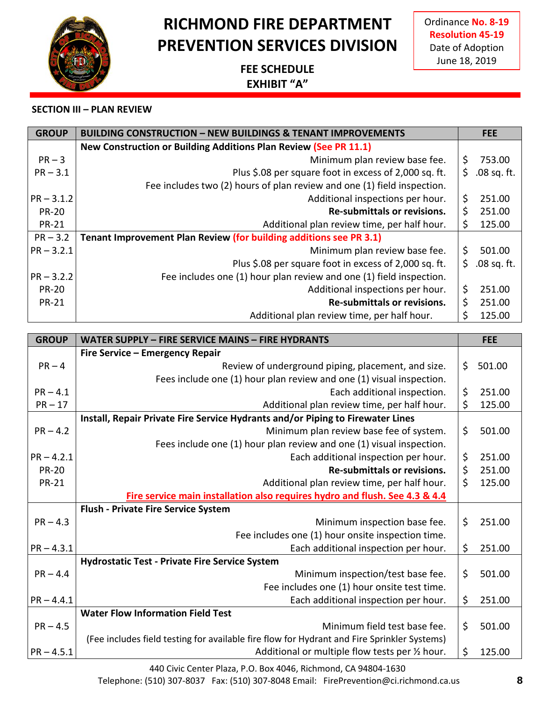## **RICHMOND FIRE DEPARTMENT PREVENTION SERVICES DIVISION**

### **FEE SCHEDULE EXHIBIT "A"**

#### **SECTION III – PLAN REVIEW**

| <b>GROUP</b> | <b>BUILDING CONSTRUCTION – NEW BUILDINGS &amp; TENANT IMPROVEMENTS</b>  | <b>FEE</b>          |
|--------------|-------------------------------------------------------------------------|---------------------|
|              | New Construction or Building Additions Plan Review (See PR 11.1)        |                     |
| $PR - 3$     | Minimum plan review base fee.                                           | \$<br>753.00        |
| $PR - 3.1$   | Plus \$.08 per square foot in excess of 2,000 sq. ft.                   | \$<br>$.08$ sq. ft. |
|              | Fee includes two (2) hours of plan review and one (1) field inspection. |                     |
| $PR - 3.1.2$ | Additional inspections per hour.                                        | \$<br>251.00        |
| <b>PR-20</b> | Re-submittals or revisions.                                             | \$<br>251.00        |
| <b>PR-21</b> | Additional plan review time, per half hour.                             | \$<br>125.00        |
| $PR - 3.2$   | Tenant Improvement Plan Review (for building additions see PR 3.1)      |                     |
| $PR - 3.2.1$ | Minimum plan review base fee.                                           | \$<br>501.00        |
|              | Plus \$.08 per square foot in excess of 2,000 sq. ft.                   | \$<br>$.08$ sq. ft. |
| $PR - 3.2.2$ | Fee includes one (1) hour plan review and one (1) field inspection.     |                     |
| <b>PR-20</b> | Additional inspections per hour.                                        | \$<br>251.00        |
| <b>PR-21</b> | Re-submittals or revisions.                                             | \$<br>251.00        |
|              | Additional plan review time, per half hour.                             | \$<br>125.00        |

| <b>GROUP</b> | WATER SUPPLY - FIRE SERVICE MAINS - FIRE HYDRANTS                                           |         | <b>FEE</b> |
|--------------|---------------------------------------------------------------------------------------------|---------|------------|
|              | Fire Service - Emergency Repair                                                             |         |            |
| $PR - 4$     | Review of underground piping, placement, and size.                                          | \$      | 501.00     |
|              | Fees include one (1) hour plan review and one (1) visual inspection.                        |         |            |
| $PR - 4.1$   | Each additional inspection.                                                                 | \$      | 251.00     |
| $PR - 17$    | Additional plan review time, per half hour.                                                 | \$      | 125.00     |
|              | Install, Repair Private Fire Service Hydrants and/or Piping to Firewater Lines              |         |            |
| $PR - 4.2$   | Minimum plan review base fee of system.                                                     | $\zeta$ | 501.00     |
|              | Fees include one (1) hour plan review and one (1) visual inspection.                        |         |            |
| $PR - 4.2.1$ | Each additional inspection per hour.                                                        | \$      | 251.00     |
| <b>PR-20</b> | Re-submittals or revisions.                                                                 | \$      | 251.00     |
| <b>PR-21</b> | Additional plan review time, per half hour.                                                 | \$      | 125.00     |
|              | Fire service main installation also requires hydro and flush. See 4.3 & 4.4                 |         |            |
|              | <b>Flush - Private Fire Service System</b>                                                  |         |            |
| $PR - 4.3$   | Minimum inspection base fee.                                                                | \$      | 251.00     |
|              | Fee includes one (1) hour onsite inspection time.                                           |         |            |
| $PR - 4.3.1$ | Each additional inspection per hour.                                                        | \$      | 251.00     |
|              | <b>Hydrostatic Test - Private Fire Service System</b>                                       |         |            |
| $PR - 4.4$   | Minimum inspection/test base fee.                                                           | \$      | 501.00     |
|              | Fee includes one (1) hour onsite test time.                                                 |         |            |
| $PR - 4.4.1$ | Each additional inspection per hour.                                                        | \$      | 251.00     |
|              | <b>Water Flow Information Field Test</b>                                                    |         |            |
| $PR - 4.5$   | Minimum field test base fee.                                                                | $\zeta$ | 501.00     |
|              | (Fee includes field testing for available fire flow for Hydrant and Fire Sprinkler Systems) |         |            |
| $PR - 4.5.1$ | Additional or multiple flow tests per 1/2 hour.                                             | \$      | 125.00     |

Telephone: (510) 307-8037 Fax: (510) 307-8048 Email: FirePrevention@ci.richmond.ca.us **8**

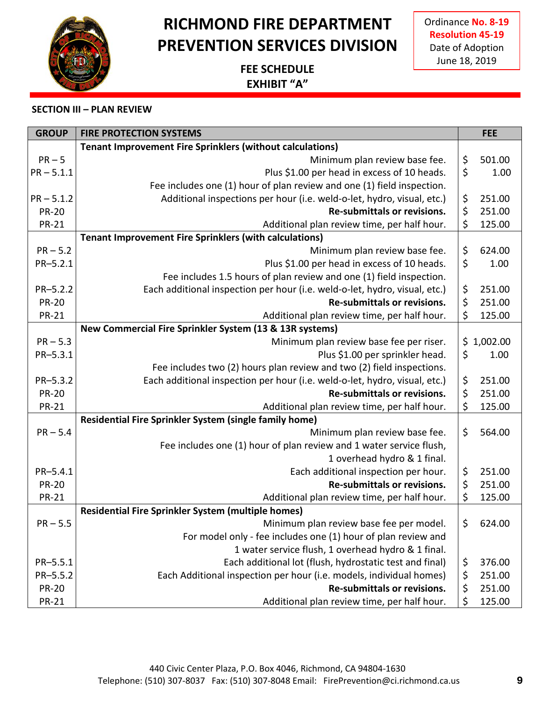## **RICHMOND FIRE DEPARTMENT PREVENTION SERVICES DIVISION**

### **FEE SCHEDULE EXHIBIT "A"**

| <b>GROUP</b> | <b>FIRE PROTECTION SYSTEMS</b>                                             |                                | <b>FEE</b> |
|--------------|----------------------------------------------------------------------------|--------------------------------|------------|
|              | <b>Tenant Improvement Fire Sprinklers (without calculations)</b>           |                                |            |
| $PR - 5$     | Minimum plan review base fee.                                              | \$                             | 501.00     |
| $PR - 5.1.1$ | Plus \$1.00 per head in excess of 10 heads.                                | \$                             | 1.00       |
|              | Fee includes one (1) hour of plan review and one (1) field inspection.     |                                |            |
| $PR - 5.1.2$ | Additional inspections per hour (i.e. weld-o-let, hydro, visual, etc.)     | \$                             | 251.00     |
| <b>PR-20</b> | <b>Re-submittals or revisions.</b>                                         | \$                             | 251.00     |
| <b>PR-21</b> | Additional plan review time, per half hour.                                | \$                             | 125.00     |
|              | <b>Tenant Improvement Fire Sprinklers (with calculations)</b>              |                                |            |
| $PR - 5.2$   | Minimum plan review base fee.                                              | \$                             | 624.00     |
| PR-5.2.1     | Plus \$1.00 per head in excess of 10 heads.                                | \$                             | 1.00       |
|              | Fee includes 1.5 hours of plan review and one (1) field inspection.        |                                |            |
| PR-5.2.2     | Each additional inspection per hour (i.e. weld-o-let, hydro, visual, etc.) | \$                             | 251.00     |
| <b>PR-20</b> | <b>Re-submittals or revisions.</b>                                         | \$                             | 251.00     |
| <b>PR-21</b> | Additional plan review time, per half hour.                                | \$                             | 125.00     |
|              | New Commercial Fire Sprinkler System (13 & 13R systems)                    |                                |            |
| $PR - 5.3$   | Minimum plan review base fee per riser.                                    |                                | \$1,002.00 |
| PR-5.3.1     | Plus \$1.00 per sprinkler head.                                            | \$                             | 1.00       |
|              | Fee includes two (2) hours plan review and two (2) field inspections.      |                                |            |
| PR-5.3.2     | Each additional inspection per hour (i.e. weld-o-let, hydro, visual, etc.) | \$                             | 251.00     |
| <b>PR-20</b> | Re-submittals or revisions.                                                | \$                             | 251.00     |
| <b>PR-21</b> | Additional plan review time, per half hour.                                | \$                             | 125.00     |
|              | Residential Fire Sprinkler System (single family home)                     |                                |            |
| $PR - 5.4$   | Minimum plan review base fee.                                              | \$                             | 564.00     |
|              | Fee includes one (1) hour of plan review and 1 water service flush,        |                                |            |
|              | 1 overhead hydro & 1 final.                                                |                                |            |
| PR-5.4.1     | Each additional inspection per hour.                                       | \$                             | 251.00     |
| <b>PR-20</b> | Re-submittals or revisions.                                                | $\boldsymbol{\dot{\varsigma}}$ | 251.00     |
| <b>PR-21</b> | Additional plan review time, per half hour.                                | \$                             | 125.00     |
|              | <b>Residential Fire Sprinkler System (multiple homes)</b>                  |                                |            |
| $PR - 5.5$   | Minimum plan review base fee per model.                                    | \$                             | 624.00     |
|              | For model only - fee includes one (1) hour of plan review and              |                                |            |
|              | 1 water service flush, 1 overhead hydro & 1 final.                         |                                |            |
| PR-5.5.1     | Each additional lot (flush, hydrostatic test and final)                    | \$                             | 376.00     |
| PR-5.5.2     | Each Additional inspection per hour (i.e. models, individual homes)        | \$                             | 251.00     |
| <b>PR-20</b> | Re-submittals or revisions.                                                | \$                             | 251.00     |
| <b>PR-21</b> | Additional plan review time, per half hour.                                | \$                             | 125.00     |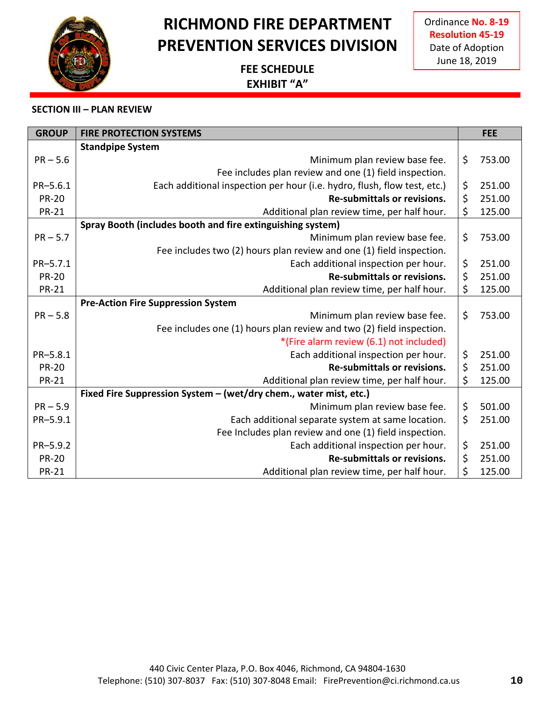## **RICHMOND FIRE DEPARTMENT PREVENTION SERVICES DIVISION**

**FEE SCHEDULE EXHIBIT "A"**

| <b>GROUP</b> | <b>FIRE PROTECTION SYSTEMS</b>                                           |         | <b>FEE</b> |
|--------------|--------------------------------------------------------------------------|---------|------------|
|              | <b>Standpipe System</b>                                                  |         |            |
| $PR - 5.6$   | Minimum plan review base fee.                                            | \$      | 753.00     |
|              | Fee includes plan review and one (1) field inspection.                   |         |            |
| PR-5.6.1     | Each additional inspection per hour (i.e. hydro, flush, flow test, etc.) | \$      | 251.00     |
| <b>PR-20</b> | <b>Re-submittals or revisions.</b>                                       | \$      | 251.00     |
| <b>PR-21</b> | Additional plan review time, per half hour.                              | \$      | 125.00     |
|              | Spray Booth (includes booth and fire extinguishing system)               |         |            |
| $PR - 5.7$   | Minimum plan review base fee.                                            | \$      | 753.00     |
|              | Fee includes two (2) hours plan review and one (1) field inspection.     |         |            |
| PR-5.7.1     | Each additional inspection per hour.                                     | \$      | 251.00     |
| <b>PR-20</b> | <b>Re-submittals or revisions.</b>                                       | \$      | 251.00     |
| <b>PR-21</b> | Additional plan review time, per half hour.                              | \$      | 125.00     |
|              | <b>Pre-Action Fire Suppression System</b>                                |         |            |
| $PR - 5.8$   | Minimum plan review base fee.                                            | \$      | 753.00     |
|              | Fee includes one (1) hours plan review and two (2) field inspection.     |         |            |
|              | *(Fire alarm review (6.1) not included)                                  |         |            |
| PR-5.8.1     | Each additional inspection per hour.                                     | \$      | 251.00     |
| <b>PR-20</b> | <b>Re-submittals or revisions.</b>                                       | $\zeta$ | 251.00     |
| <b>PR-21</b> | Additional plan review time, per half hour.                              | \$      | 125.00     |
|              | Fixed Fire Suppression System - (wet/dry chem., water mist, etc.)        |         |            |
| $PR - 5.9$   | Minimum plan review base fee.                                            | \$      | 501.00     |
| PR-5.9.1     | Each additional separate system at same location.                        | \$      | 251.00     |
|              | Fee Includes plan review and one (1) field inspection.                   |         |            |
| PR-5.9.2     | Each additional inspection per hour.                                     | \$      | 251.00     |
| <b>PR-20</b> | <b>Re-submittals or revisions.</b>                                       | \$      | 251.00     |
| <b>PR-21</b> | Additional plan review time, per half hour.                              | \$      | 125.00     |

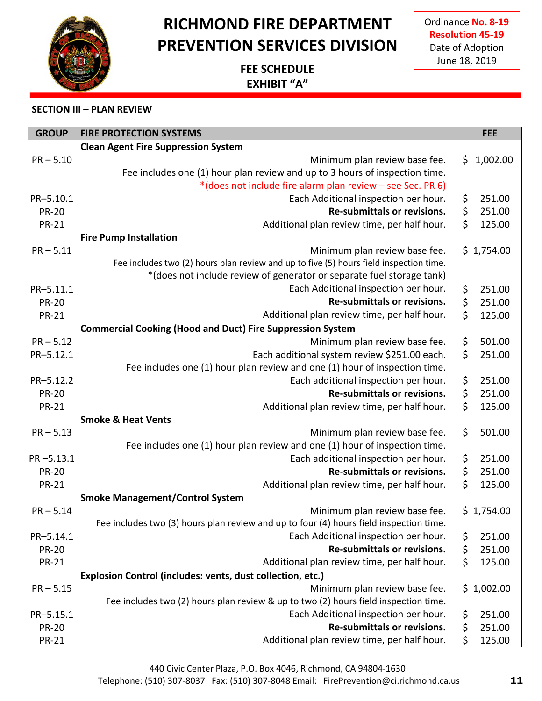## **RICHMOND FIRE DEPARTMENT PREVENTION SERVICES DIVISION**

**FEE SCHEDULE EXHIBIT "A"**



#### **SECTION III – PLAN REVIEW**

| <b>GROUP</b>  | <b>FIRE PROTECTION SYSTEMS</b>                                                         |             | <b>FEE</b> |
|---------------|----------------------------------------------------------------------------------------|-------------|------------|
|               | <b>Clean Agent Fire Suppression System</b>                                             |             |            |
| $PR - 5.10$   | Minimum plan review base fee.                                                          | $\varsigma$ | 1,002.00   |
|               | Fee includes one (1) hour plan review and up to 3 hours of inspection time.            |             |            |
|               | *(does not include fire alarm plan review - see Sec. PR 6)                             |             |            |
| PR-5.10.1     | Each Additional inspection per hour.                                                   | \$          | 251.00     |
| <b>PR-20</b>  | <b>Re-submittals or revisions.</b>                                                     | \$          | 251.00     |
| <b>PR-21</b>  | Additional plan review time, per half hour.                                            | \$          | 125.00     |
|               | <b>Fire Pump Installation</b>                                                          |             |            |
| $PR - 5.11$   | Minimum plan review base fee.                                                          |             | \$1,754.00 |
|               | Fee includes two (2) hours plan review and up to five (5) hours field inspection time. |             |            |
|               | *(does not include review of generator or separate fuel storage tank)                  |             |            |
| PR-5.11.1     | Each Additional inspection per hour.                                                   | \$          | 251.00     |
| <b>PR-20</b>  | <b>Re-submittals or revisions.</b>                                                     | \$          | 251.00     |
| <b>PR-21</b>  | Additional plan review time, per half hour.                                            | $\zeta$     | 125.00     |
|               | <b>Commercial Cooking (Hood and Duct) Fire Suppression System</b>                      |             |            |
| $PR - 5.12$   | Minimum plan review base fee.                                                          | \$          | 501.00     |
| PR-5.12.1     | Each additional system review \$251.00 each.                                           | \$          | 251.00     |
|               | Fee includes one (1) hour plan review and one (1) hour of inspection time.             |             |            |
| PR-5.12.2     | Each additional inspection per hour.                                                   | \$          | 251.00     |
| <b>PR-20</b>  | Re-submittals or revisions.                                                            | \$          | 251.00     |
| <b>PR-21</b>  | Additional plan review time, per half hour.                                            | \$          | 125.00     |
|               | <b>Smoke &amp; Heat Vents</b>                                                          |             |            |
| $PR - 5.13$   | Minimum plan review base fee.                                                          | \$          | 501.00     |
|               | Fee includes one (1) hour plan review and one (1) hour of inspection time.             |             |            |
| $PR - 5.13.1$ | Each additional inspection per hour.                                                   | \$          | 251.00     |
| <b>PR-20</b>  | <b>Re-submittals or revisions.</b>                                                     | $\varsigma$ | 251.00     |
| <b>PR-21</b>  | Additional plan review time, per half hour.                                            | \$          | 125.00     |
|               | <b>Smoke Management/Control System</b>                                                 |             |            |
| $PR - 5.14$   | Minimum plan review base fee.                                                          |             | \$1,754.00 |
|               | Fee includes two (3) hours plan review and up to four (4) hours field inspection time. |             |            |
| PR-5.14.1     | Each Additional inspection per hour.                                                   | \$          | 251.00     |
| <b>PR-20</b>  | Re-submittals or revisions.                                                            | \$          | 251.00     |
| <b>PR-21</b>  | Additional plan review time, per half hour.                                            | \$          | 125.00     |
|               | Explosion Control (includes: vents, dust collection, etc.)                             |             |            |
| $PR - 5.15$   | Minimum plan review base fee.                                                          |             | \$1,002.00 |
|               | Fee includes two (2) hours plan review & up to two (2) hours field inspection time.    |             |            |
| PR-5.15.1     | Each Additional inspection per hour.                                                   | \$          | 251.00     |
| <b>PR-20</b>  | Re-submittals or revisions.                                                            | \$          | 251.00     |
| <b>PR-21</b>  | Additional plan review time, per half hour.                                            | \$          | 125.00     |

Telephone: (510) 307-8037 Fax: (510) 307-8048 Email: FirePrevention@ci.richmond.ca.us **11**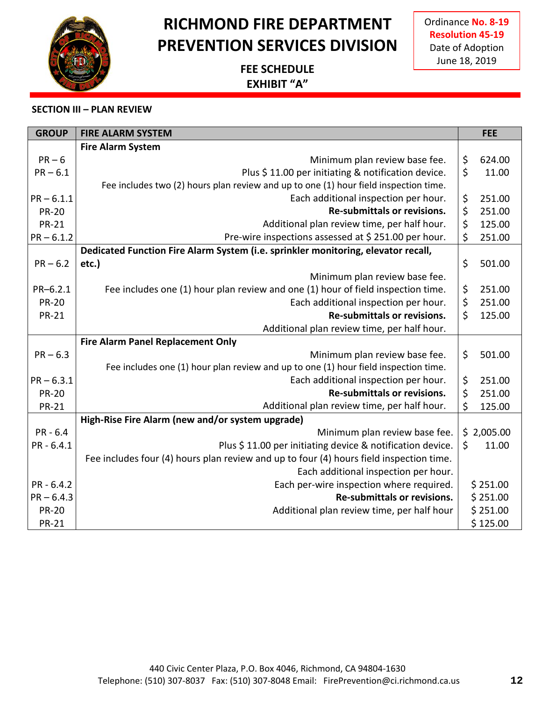## **RICHMOND FIRE DEPARTMENT PREVENTION SERVICES DIVISION**

### **FEE SCHEDULE EXHIBIT "A"**



| <b>GROUP</b> | <b>FIRE ALARM SYSTEM</b>                                                                | <b>FEE</b>   |
|--------------|-----------------------------------------------------------------------------------------|--------------|
|              | <b>Fire Alarm System</b>                                                                |              |
| $PR - 6$     | Minimum plan review base fee.                                                           | \$<br>624.00 |
| $PR - 6.1$   | Plus \$11.00 per initiating & notification device.                                      | \$<br>11.00  |
|              | Fee includes two (2) hours plan review and up to one (1) hour field inspection time.    |              |
| $PR - 6.1.1$ | Each additional inspection per hour.                                                    | \$<br>251.00 |
| <b>PR-20</b> | <b>Re-submittals or revisions.</b>                                                      | \$<br>251.00 |
| <b>PR-21</b> | Additional plan review time, per half hour.                                             | \$<br>125.00 |
| $PR - 6.1.2$ | Pre-wire inspections assessed at \$251.00 per hour.                                     | \$<br>251.00 |
|              | Dedicated Function Fire Alarm System (i.e. sprinkler monitoring, elevator recall,       |              |
| $PR - 6.2$   | etc.)                                                                                   | \$<br>501.00 |
|              | Minimum plan review base fee.                                                           |              |
| $PR-6.2.1$   | Fee includes one (1) hour plan review and one (1) hour of field inspection time.        | \$<br>251.00 |
| <b>PR-20</b> | Each additional inspection per hour.                                                    | \$<br>251.00 |
| <b>PR-21</b> | Re-submittals or revisions.                                                             | \$<br>125.00 |
|              | Additional plan review time, per half hour.                                             |              |
|              | <b>Fire Alarm Panel Replacement Only</b>                                                |              |
| $PR - 6.3$   | Minimum plan review base fee.                                                           | \$<br>501.00 |
|              | Fee includes one (1) hour plan review and up to one (1) hour field inspection time.     |              |
| $PR - 6.3.1$ | Each additional inspection per hour.                                                    | \$<br>251.00 |
| <b>PR-20</b> | <b>Re-submittals or revisions.</b>                                                      | \$<br>251.00 |
| <b>PR-21</b> | Additional plan review time, per half hour.                                             | \$<br>125.00 |
|              | High-Rise Fire Alarm (new and/or system upgrade)                                        |              |
| $PR - 6.4$   | Minimum plan review base fee.                                                           | \$2,005.00   |
| $PR - 6.4.1$ | Plus \$11.00 per initiating device & notification device.                               | \$<br>11.00  |
|              | Fee includes four (4) hours plan review and up to four (4) hours field inspection time. |              |
|              | Each additional inspection per hour.                                                    |              |
| $PR - 6.4.2$ | Each per-wire inspection where required.                                                | \$251.00     |
| $PR - 6.4.3$ | <b>Re-submittals or revisions.</b>                                                      | \$251.00     |
| <b>PR-20</b> | Additional plan review time, per half hour                                              | \$251.00     |
| <b>PR-21</b> |                                                                                         | \$125.00     |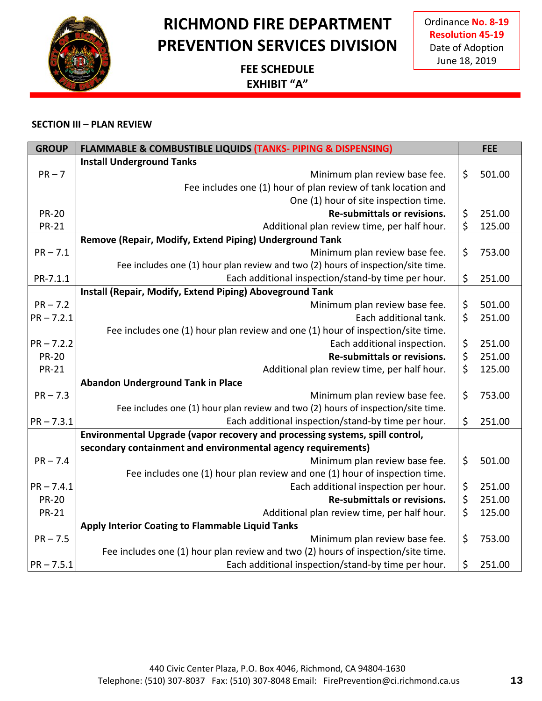

Ordinance **No. 8-19 Resolution 45-19** Date of Adoption June 18, 2019

### **FEE SCHEDULE EXHIBIT "A"**

| <b>GROUP</b> | <b>FLAMMABLE &amp; COMBUSTIBLE LIQUIDS (TANKS- PIPING &amp; DISPENSING)</b>      |         | <b>FEE</b> |
|--------------|----------------------------------------------------------------------------------|---------|------------|
|              | <b>Install Underground Tanks</b>                                                 |         |            |
| $PR - 7$     | Minimum plan review base fee.                                                    | $\zeta$ | 501.00     |
|              | Fee includes one (1) hour of plan review of tank location and                    |         |            |
|              | One (1) hour of site inspection time.                                            |         |            |
| <b>PR-20</b> | Re-submittals or revisions.                                                      | \$      | 251.00     |
| <b>PR-21</b> | Additional plan review time, per half hour.                                      | \$      | 125.00     |
|              | Remove (Repair, Modify, Extend Piping) Underground Tank                          |         |            |
| $PR - 7.1$   | Minimum plan review base fee.                                                    | \$      | 753.00     |
|              | Fee includes one (1) hour plan review and two (2) hours of inspection/site time. |         |            |
| PR-7.1.1     | Each additional inspection/stand-by time per hour.                               | $\zeta$ | 251.00     |
|              | Install (Repair, Modify, Extend Piping) Aboveground Tank                         |         |            |
| $PR - 7.2$   | Minimum plan review base fee.                                                    | \$      | 501.00     |
| $PR - 7.2.1$ | Each additional tank.                                                            | $\zeta$ | 251.00     |
|              | Fee includes one (1) hour plan review and one (1) hour of inspection/site time.  |         |            |
| $PR - 7.2.2$ | Each additional inspection.                                                      | \$      | 251.00     |
| <b>PR-20</b> | Re-submittals or revisions.                                                      | \$      | 251.00     |
| <b>PR-21</b> | Additional plan review time, per half hour.                                      | \$      | 125.00     |
|              | <b>Abandon Underground Tank in Place</b>                                         |         |            |
| $PR - 7.3$   | Minimum plan review base fee.                                                    | \$      | 753.00     |
|              | Fee includes one (1) hour plan review and two (2) hours of inspection/site time. |         |            |
| $PR - 7.3.1$ | Each additional inspection/stand-by time per hour.                               | $\zeta$ | 251.00     |
|              | Environmental Upgrade (vapor recovery and processing systems, spill control,     |         |            |
|              | secondary containment and environmental agency requirements)                     |         |            |
| $PR - 7.4$   | Minimum plan review base fee.                                                    | \$      | 501.00     |
|              | Fee includes one (1) hour plan review and one (1) hour of inspection time.       |         |            |
| $PR - 7.4.1$ | Each additional inspection per hour.                                             | \$      | 251.00     |
| <b>PR-20</b> | Re-submittals or revisions.                                                      | \$      | 251.00     |
| <b>PR-21</b> | Additional plan review time, per half hour.                                      | \$      | 125.00     |
|              | Apply Interior Coating to Flammable Liquid Tanks                                 |         |            |
| $PR - 7.5$   | Minimum plan review base fee.                                                    | \$      | 753.00     |
|              | Fee includes one (1) hour plan review and two (2) hours of inspection/site time. |         |            |
| $PR - 7.5.1$ | Each additional inspection/stand-by time per hour.                               | \$      | 251.00     |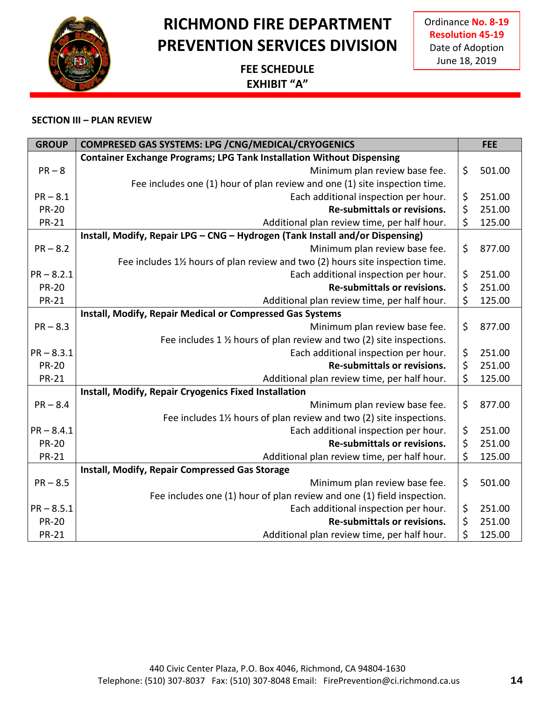## **RICHMOND FIRE DEPARTMENT PREVENTION SERVICES DIVISION**

### **FEE SCHEDULE EXHIBIT "A"**

| <b>GROUP</b> | COMPRESED GAS SYSTEMS: LPG / CNG/MEDICAL/CRYOGENICS                           |         | <b>FEE</b> |
|--------------|-------------------------------------------------------------------------------|---------|------------|
|              | <b>Container Exchange Programs; LPG Tank Installation Without Dispensing</b>  |         |            |
| $PR - 8$     | Minimum plan review base fee.                                                 | \$      | 501.00     |
|              | Fee includes one (1) hour of plan review and one (1) site inspection time.    |         |            |
| $PR - 8.1$   | Each additional inspection per hour.                                          | \$      | 251.00     |
| <b>PR-20</b> | Re-submittals or revisions.                                                   | \$      | 251.00     |
| <b>PR-21</b> | Additional plan review time, per half hour.                                   | \$      | 125.00     |
|              | Install, Modify, Repair LPG - CNG - Hydrogen (Tank Install and/or Dispensing) |         |            |
| $PR - 8.2$   | Minimum plan review base fee.                                                 | \$      | 877.00     |
|              | Fee includes 1% hours of plan review and two (2) hours site inspection time.  |         |            |
| $PR - 8.2.1$ | Each additional inspection per hour.                                          | \$      | 251.00     |
| <b>PR-20</b> | Re-submittals or revisions.                                                   | \$      | 251.00     |
| <b>PR-21</b> | Additional plan review time, per half hour.                                   | \$      | 125.00     |
|              | Install, Modify, Repair Medical or Compressed Gas Systems                     |         |            |
| $PR - 8.3$   | Minimum plan review base fee.                                                 | \$      | 877.00     |
|              | Fee includes 1 % hours of plan review and two (2) site inspections.           |         |            |
| $PR - 8.3.1$ | Each additional inspection per hour.                                          | \$      | 251.00     |
| <b>PR-20</b> | <b>Re-submittals or revisions.</b>                                            | $\zeta$ | 251.00     |
| <b>PR-21</b> | Additional plan review time, per half hour.                                   | \$      | 125.00     |
|              | Install, Modify, Repair Cryogenics Fixed Installation                         |         |            |
| $PR - 8.4$   | Minimum plan review base fee.                                                 | \$      | 877.00     |
|              | Fee includes 1% hours of plan review and two (2) site inspections.            |         |            |
| $PR - 8.4.1$ | Each additional inspection per hour.                                          | \$      | 251.00     |
| <b>PR-20</b> | Re-submittals or revisions.                                                   | \$      | 251.00     |
| <b>PR-21</b> | Additional plan review time, per half hour.                                   | \$      | 125.00     |
|              | Install, Modify, Repair Compressed Gas Storage                                |         |            |
| $PR - 8.5$   | Minimum plan review base fee.                                                 | \$      | 501.00     |
|              | Fee includes one (1) hour of plan review and one (1) field inspection.        |         |            |
| $PR - 8.5.1$ | Each additional inspection per hour.                                          | \$      | 251.00     |
| <b>PR-20</b> | Re-submittals or revisions.                                                   | \$      | 251.00     |
| <b>PR-21</b> | Additional plan review time, per half hour.                                   | \$      | 125.00     |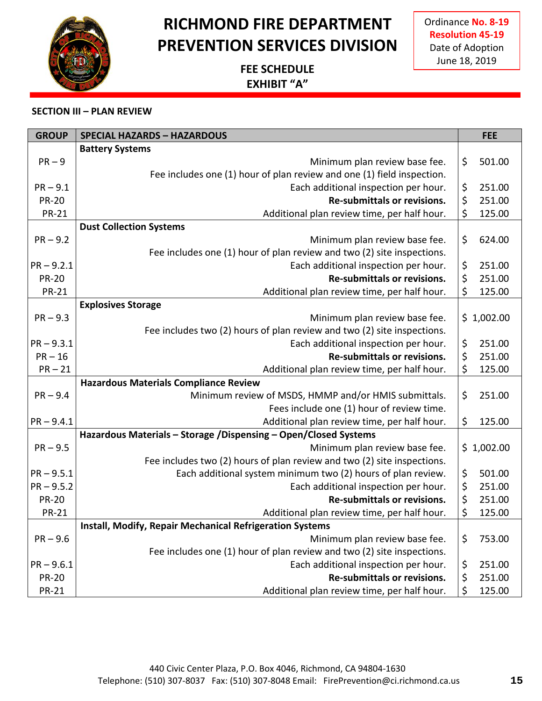## **RICHMOND FIRE DEPARTMENT PREVENTION SERVICES DIVISION**

**FEE SCHEDULE EXHIBIT "A"**

| <b>GROUP</b> | <b>SPECIAL HAZARDS - HAZARDOUS</b>                                      | <b>FEE</b>   |
|--------------|-------------------------------------------------------------------------|--------------|
|              | <b>Battery Systems</b>                                                  |              |
| $PR - 9$     | Minimum plan review base fee.                                           | \$<br>501.00 |
|              | Fee includes one (1) hour of plan review and one (1) field inspection.  |              |
| $PR - 9.1$   | Each additional inspection per hour.                                    | \$<br>251.00 |
| <b>PR-20</b> | <b>Re-submittals or revisions.</b>                                      | \$<br>251.00 |
| <b>PR-21</b> | Additional plan review time, per half hour.                             | \$<br>125.00 |
|              | <b>Dust Collection Systems</b>                                          |              |
| $PR - 9.2$   | Minimum plan review base fee.                                           | \$<br>624.00 |
|              | Fee includes one (1) hour of plan review and two (2) site inspections.  |              |
| $PR - 9.2.1$ | Each additional inspection per hour.                                    | \$<br>251.00 |
| <b>PR-20</b> | <b>Re-submittals or revisions.</b>                                      | \$<br>251.00 |
| <b>PR-21</b> | Additional plan review time, per half hour.                             | \$<br>125.00 |
|              | <b>Explosives Storage</b>                                               |              |
| $PR - 9.3$   | Minimum plan review base fee.                                           | \$1,002.00   |
|              | Fee includes two (2) hours of plan review and two (2) site inspections. |              |
| $PR - 9.3.1$ | Each additional inspection per hour.                                    | \$<br>251.00 |
| $PR-16$      | Re-submittals or revisions.                                             | \$<br>251.00 |
| $PR - 21$    | Additional plan review time, per half hour.                             | \$<br>125.00 |
|              | <b>Hazardous Materials Compliance Review</b>                            |              |
| $PR - 9.4$   | Minimum review of MSDS, HMMP and/or HMIS submittals.                    | \$<br>251.00 |
|              | Fees include one (1) hour of review time.                               |              |
| $PR - 9.4.1$ | Additional plan review time, per half hour.                             | \$<br>125.00 |
|              | Hazardous Materials - Storage /Dispensing - Open/Closed Systems         |              |
| $PR - 9.5$   | Minimum plan review base fee.                                           | \$1,002.00   |
|              | Fee includes two (2) hours of plan review and two (2) site inspections. |              |
| $PR - 9.5.1$ | Each additional system minimum two (2) hours of plan review.            | \$<br>501.00 |
| $PR - 9.5.2$ | Each additional inspection per hour.                                    | \$<br>251.00 |
| <b>PR-20</b> | <b>Re-submittals or revisions.</b>                                      | \$<br>251.00 |
| <b>PR-21</b> | Additional plan review time, per half hour.                             | \$<br>125.00 |
|              | Install, Modify, Repair Mechanical Refrigeration Systems                |              |
| $PR - 9.6$   | Minimum plan review base fee.                                           | \$<br>753.00 |
|              | Fee includes one (1) hour of plan review and two (2) site inspections.  |              |
| $PR - 9.6.1$ | Each additional inspection per hour.<br>Re-submittals or revisions.     | \$<br>251.00 |
| <b>PR-20</b> |                                                                         | \$<br>251.00 |
| <b>PR-21</b> | Additional plan review time, per half hour.                             | \$<br>125.00 |

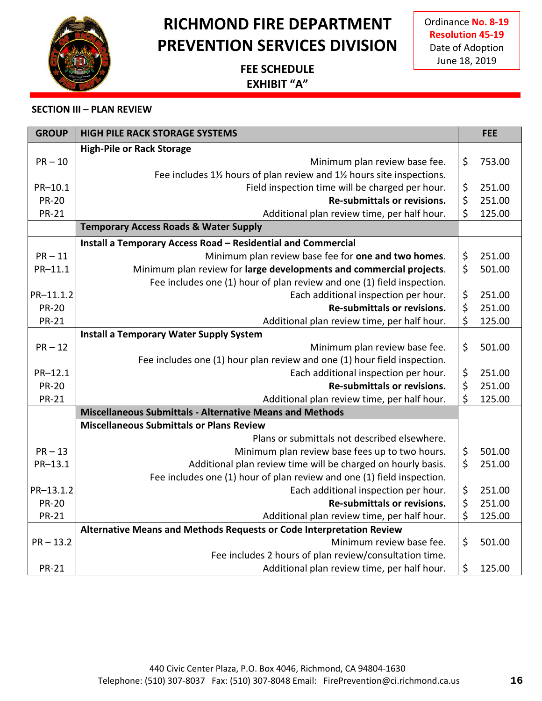## **RICHMOND FIRE DEPARTMENT PREVENTION SERVICES DIVISION**

**FEE SCHEDULE EXHIBIT "A"**

| <b>GROUP</b> | <b>HIGH PILE RACK STORAGE SYSTEMS</b>                                    |         | <b>FEE</b> |
|--------------|--------------------------------------------------------------------------|---------|------------|
|              | <b>High-Pile or Rack Storage</b>                                         |         |            |
| $PR - 10$    | Minimum plan review base fee.                                            | \$      | 753.00     |
|              | Fee includes 1% hours of plan review and 1% hours site inspections.      |         |            |
| PR-10.1      | Field inspection time will be charged per hour.                          | \$      | 251.00     |
| <b>PR-20</b> | Re-submittals or revisions.                                              | \$      | 251.00     |
| <b>PR-21</b> | Additional plan review time, per half hour.                              | \$      | 125.00     |
|              | <b>Temporary Access Roads &amp; Water Supply</b>                         |         |            |
|              | Install a Temporary Access Road - Residential and Commercial             |         |            |
| $PR - 11$    | Minimum plan review base fee for one and two homes.                      | \$      | 251.00     |
| PR-11.1      | Minimum plan review for large developments and commercial projects.      | \$      | 501.00     |
|              | Fee includes one (1) hour of plan review and one (1) field inspection.   |         |            |
| PR-11.1.2    | Each additional inspection per hour.                                     | \$      | 251.00     |
| <b>PR-20</b> | Re-submittals or revisions.                                              | $\zeta$ | 251.00     |
| <b>PR-21</b> | Additional plan review time, per half hour.                              | \$      | 125.00     |
|              | <b>Install a Temporary Water Supply System</b>                           |         |            |
| $PR - 12$    | Minimum plan review base fee.                                            | \$      | 501.00     |
|              | Fee includes one (1) hour plan review and one (1) hour field inspection. |         |            |
| PR-12.1      | Each additional inspection per hour.                                     | \$      | 251.00     |
| <b>PR-20</b> | <b>Re-submittals or revisions.</b>                                       | \$      | 251.00     |
| <b>PR-21</b> | Additional plan review time, per half hour.                              | \$      | 125.00     |
|              | <b>Miscellaneous Submittals - Alternative Means and Methods</b>          |         |            |
|              | <b>Miscellaneous Submittals or Plans Review</b>                          |         |            |
|              | Plans or submittals not described elsewhere.                             |         |            |
| $PR - 13$    | Minimum plan review base fees up to two hours.                           | \$      | 501.00     |
| PR-13.1      | Additional plan review time will be charged on hourly basis.             | \$      | 251.00     |
|              | Fee includes one (1) hour of plan review and one (1) field inspection.   |         |            |
| PR-13.1.2    | Each additional inspection per hour.                                     | \$      | 251.00     |
| <b>PR-20</b> | Re-submittals or revisions.                                              | \$      | 251.00     |
| <b>PR-21</b> | Additional plan review time, per half hour.                              | \$      | 125.00     |
|              | Alternative Means and Methods Requests or Code Interpretation Review     |         |            |
| $PR - 13.2$  | Minimum review base fee.                                                 | \$      | 501.00     |
|              | Fee includes 2 hours of plan review/consultation time.                   |         |            |
| <b>PR-21</b> | Additional plan review time, per half hour.                              | \$      | 125.00     |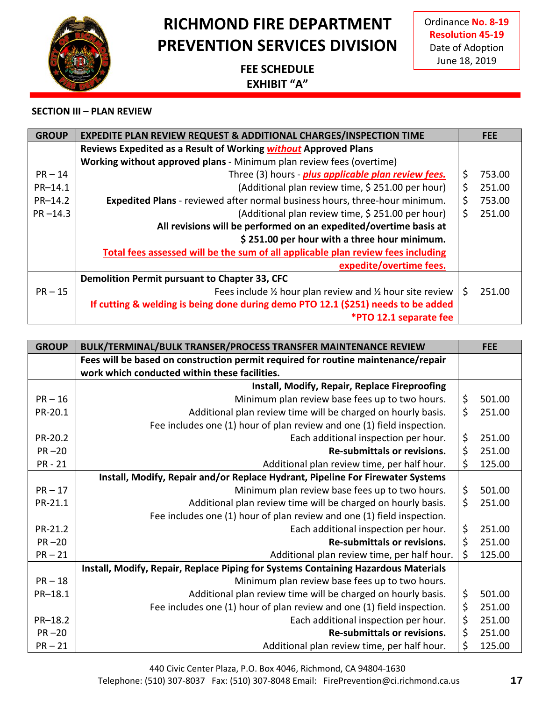

Ordinance **No. 8-19 Resolution 45-19** Date of Adoption June 18, 2019

### **FEE SCHEDULE EXHIBIT "A"**

#### **SECTION III – PLAN REVIEW**

| <b>GROUP</b> | <b>EXPEDITE PLAN REVIEW REQUEST &amp; ADDITIONAL CHARGES/INSPECTION TIME</b>       | <b>FEE</b>   |
|--------------|------------------------------------------------------------------------------------|--------------|
|              | Reviews Expedited as a Result of Working without Approved Plans                    |              |
|              | Working without approved plans - Minimum plan review fees (overtime)               |              |
| $PR - 14$    | Three (3) hours - plus applicable plan review fees.                                | \$<br>753.00 |
| PR-14.1      | (Additional plan review time, \$251.00 per hour)                                   | \$<br>251.00 |
| $PR-14.2$    | <b>Expedited Plans</b> - reviewed after normal business hours, three-hour minimum. | \$<br>753.00 |
| $PR - 14.3$  | (Additional plan review time, \$251.00 per hour)                                   | \$<br>251.00 |
|              | All revisions will be performed on an expedited/overtime basis at                  |              |
|              | \$251.00 per hour with a three hour minimum.                                       |              |
|              | Total fees assessed will be the sum of all applicable plan review fees including   |              |
|              | expedite/overtime fees.                                                            |              |
|              | Demolition Permit pursuant to Chapter 33, CFC                                      |              |
| $PR - 15$    | Fees include 1/2 hour plan review and 1/2 hour site review                         | \$<br>251.00 |
|              | If cutting & welding is being done during demo PTO 12.1 (\$251) needs to be added  |              |
|              | *PTO 12.1 separate fee                                                             |              |

| <b>GROUP</b> | <b>BULK/TERMINAL/BULK TRANSER/PROCESS TRANSFER MAINTENANCE REVIEW</b>              |         | <b>FEE</b> |
|--------------|------------------------------------------------------------------------------------|---------|------------|
|              | Fees will be based on construction permit required for routine maintenance/repair  |         |            |
|              | work which conducted within these facilities.                                      |         |            |
|              | Install, Modify, Repair, Replace Fireproofing                                      |         |            |
| $PR-16$      | Minimum plan review base fees up to two hours.                                     | \$      | 501.00     |
| PR-20.1      | Additional plan review time will be charged on hourly basis.                       | $\zeta$ | 251.00     |
|              | Fee includes one (1) hour of plan review and one (1) field inspection.             |         |            |
| PR-20.2      | Each additional inspection per hour.                                               | \$      | 251.00     |
| $PR-20$      | <b>Re-submittals or revisions.</b>                                                 | $\zeta$ | 251.00     |
| <b>PR-21</b> | Additional plan review time, per half hour.                                        | \$      | 125.00     |
|              | Install, Modify, Repair and/or Replace Hydrant, Pipeline For Firewater Systems     |         |            |
| $PR - 17$    | Minimum plan review base fees up to two hours.                                     | \$      | 501.00     |
| PR-21.1      | Additional plan review time will be charged on hourly basis.                       | \$      | 251.00     |
|              | Fee includes one (1) hour of plan review and one (1) field inspection.             |         |            |
| PR-21.2      | Each additional inspection per hour.                                               | \$      | 251.00     |
| $PR-20$      | Re-submittals or revisions.                                                        | $\zeta$ | 251.00     |
| $PR-21$      | Additional plan review time, per half hour.                                        | \$      | 125.00     |
|              | Install, Modify, Repair, Replace Piping for Systems Containing Hazardous Materials |         |            |
| $PR-18$      | Minimum plan review base fees up to two hours.                                     |         |            |
| PR-18.1      | Additional plan review time will be charged on hourly basis.                       | \$      | 501.00     |
|              | Fee includes one (1) hour of plan review and one (1) field inspection.             | \$      | 251.00     |
| PR-18.2      | Each additional inspection per hour.                                               | \$      | 251.00     |
| $PR-20$      | <b>Re-submittals or revisions.</b>                                                 | $\zeta$ | 251.00     |
| $PR - 21$    | Additional plan review time, per half hour.                                        | \$      | 125.00     |

440 Civic Center Plaza, P.O. Box 4046, Richmond, CA 94804-1630

Telephone: (510) 307-8037 Fax: (510) 307-8048 Email: FirePrevention@ci.richmond.ca.us **17**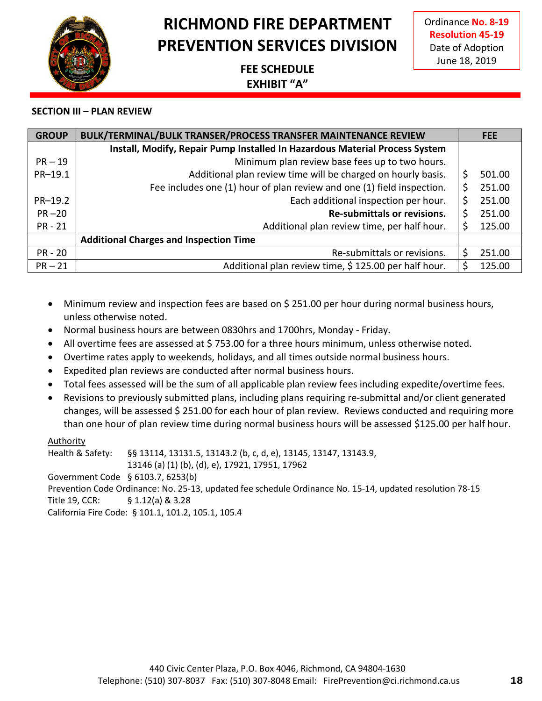Ordinance **No. 8-19 Resolution 45-19** Date of Adoption June 18, 2019

### **FEE SCHEDULE EXHIBIT "A"**

#### **SECTION III – PLAN REVIEW**

| <b>GROUP</b> | <b>BULK/TERMINAL/BULK TRANSER/PROCESS TRANSFER MAINTENANCE REVIEW</b>       | <b>FEE</b>   |
|--------------|-----------------------------------------------------------------------------|--------------|
|              | Install, Modify, Repair Pump Installed In Hazardous Material Process System |              |
| $PR - 19$    | Minimum plan review base fees up to two hours.                              |              |
| PR-19.1      | Additional plan review time will be charged on hourly basis.                | \$<br>501.00 |
|              | Fee includes one (1) hour of plan review and one (1) field inspection.      | \$<br>251.00 |
| PR-19.2      | Each additional inspection per hour.                                        | \$<br>251.00 |
| $PR - 20$    | Re-submittals or revisions.                                                 | \$<br>251.00 |
| $PR - 21$    | Additional plan review time, per half hour.                                 | \$<br>125.00 |
|              | <b>Additional Charges and Inspection Time</b>                               |              |
| $PR - 20$    | Re-submittals or revisions.                                                 | \$<br>251.00 |
| $PR-21$      | Additional plan review time, \$125.00 per half hour.                        | 125.00       |

- Minimum review and inspection fees are based on \$251.00 per hour during normal business hours, unless otherwise noted.
- Normal business hours are between 0830hrs and 1700hrs, Monday Friday.
- All overtime fees are assessed at \$753.00 for a three hours minimum, unless otherwise noted.
- Overtime rates apply to weekends, holidays, and all times outside normal business hours.
- Expedited plan reviews are conducted after normal business hours.
- Total fees assessed will be the sum of all applicable plan review fees including expedite/overtime fees.
- Revisions to previously submitted plans, including plans requiring re-submittal and/or client generated changes, will be assessed \$ 251.00 for each hour of plan review. Reviews conducted and requiring more than one hour of plan review time during normal business hours will be assessed \$125.00 per half hour.

#### Authority

Health & Safety: §§ 13114, 13131.5, 13143.2 (b, c, d, e), 13145, 13147, 13143.9, 13146 (a) (1) (b), (d), e), 17921, 17951, 17962 Government Code § 6103.7, 6253(b) Prevention Code Ordinance: No. 25-13, updated fee schedule Ordinance No. 15-14, updated resolution 78-15 Title 19, CCR: § 1.12(a) & 3.28 California Fire Code: § 101.1, 101.2, 105.1, 105.4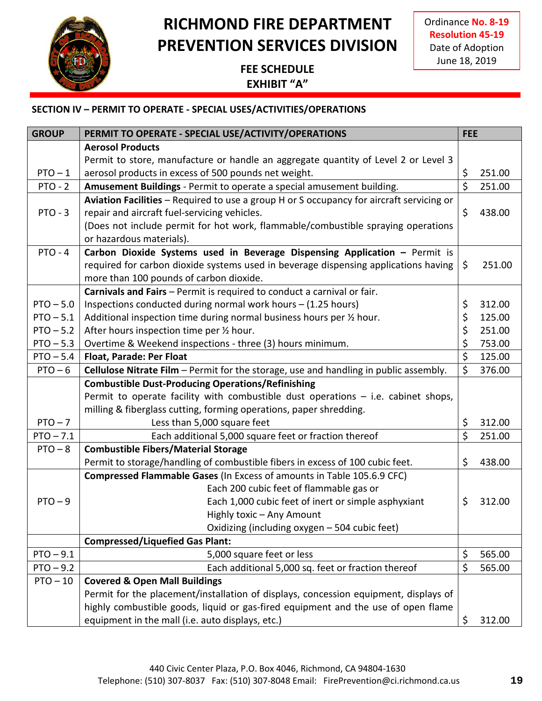

Ordinance **No. 8-19 Resolution 45-19** Date of Adoption June 18, 2019

### **FEE SCHEDULE EXHIBIT "A"**

| <b>GROUP</b> | PERMIT TO OPERATE - SPECIAL USE/ACTIVITY/OPERATIONS                                          | <b>FEE</b> |        |
|--------------|----------------------------------------------------------------------------------------------|------------|--------|
|              | <b>Aerosol Products</b>                                                                      |            |        |
|              | Permit to store, manufacture or handle an aggregate quantity of Level 2 or Level 3           |            |        |
| $PTO - 1$    | aerosol products in excess of 500 pounds net weight.                                         | \$         | 251.00 |
| $PTO - 2$    | Amusement Buildings - Permit to operate a special amusement building.                        | \$         | 251.00 |
|              | Aviation Facilities - Required to use a group H or S occupancy for aircraft servicing or     |            |        |
| $PTO - 3$    | repair and aircraft fuel-servicing vehicles.                                                 | \$         | 438.00 |
|              | (Does not include permit for hot work, flammable/combustible spraying operations             |            |        |
|              | or hazardous materials).                                                                     |            |        |
| $PTO - 4$    | Carbon Dioxide Systems used in Beverage Dispensing Application - Permit is                   |            |        |
|              | required for carbon dioxide systems used in beverage dispensing applications having          | \$         | 251.00 |
|              | more than 100 pounds of carbon dioxide.                                                      |            |        |
|              | Carnivals and Fairs - Permit is required to conduct a carnival or fair.                      |            |        |
| $PTO - 5.0$  | Inspections conducted during normal work hours - (1.25 hours)                                | \$         | 312.00 |
| $PTO - 5.1$  | Additional inspection time during normal business hours per 1/2 hour.                        | \$         | 125.00 |
| $PTO - 5.2$  | After hours inspection time per 1/2 hour.                                                    | \$         | 251.00 |
| $PTO - 5.3$  | Overtime & Weekend inspections - three (3) hours minimum.                                    | \$         | 753.00 |
| $PTO - 5.4$  | <b>Float, Parade: Per Float</b>                                                              | \$         | 125.00 |
| $PTO - 6$    | <b>Cellulose Nitrate Film</b> - Permit for the storage, use and handling in public assembly. | \$         | 376.00 |
|              | <b>Combustible Dust-Producing Operations/Refinishing</b>                                     |            |        |
|              | Permit to operate facility with combustible dust operations - i.e. cabinet shops,            |            |        |
|              | milling & fiberglass cutting, forming operations, paper shredding.                           |            |        |
| $PTO - 7$    | Less than 5,000 square feet                                                                  | \$         | 312.00 |
| $PTO - 7.1$  | Each additional 5,000 square feet or fraction thereof                                        | \$         | 251.00 |
| $PTO - 8$    | <b>Combustible Fibers/Material Storage</b>                                                   |            |        |
|              | Permit to storage/handling of combustible fibers in excess of 100 cubic feet.                | \$         | 438.00 |
|              | Compressed Flammable Gases (In Excess of amounts in Table 105.6.9 CFC)                       |            |        |
|              | Each 200 cubic feet of flammable gas or                                                      |            |        |
| $PTO - 9$    | Each 1,000 cubic feet of inert or simple asphyxiant                                          | \$         | 312.00 |
|              | Highly toxic - Any Amount                                                                    |            |        |
|              | Oxidizing (including oxygen - 504 cubic feet)                                                |            |        |
|              | <b>Compressed/Liquefied Gas Plant:</b>                                                       |            |        |
| $PTO - 9.1$  | 5,000 square feet or less                                                                    | \$         | 565.00 |
| $PTO - 9.2$  | Each additional 5,000 sq. feet or fraction thereof                                           | \$         | 565.00 |
| $PTO - 10$   | <b>Covered &amp; Open Mall Buildings</b>                                                     |            |        |
|              | Permit for the placement/installation of displays, concession equipment, displays of         |            |        |
|              | highly combustible goods, liquid or gas-fired equipment and the use of open flame            |            |        |
|              | equipment in the mall (i.e. auto displays, etc.)                                             | \$         | 312.00 |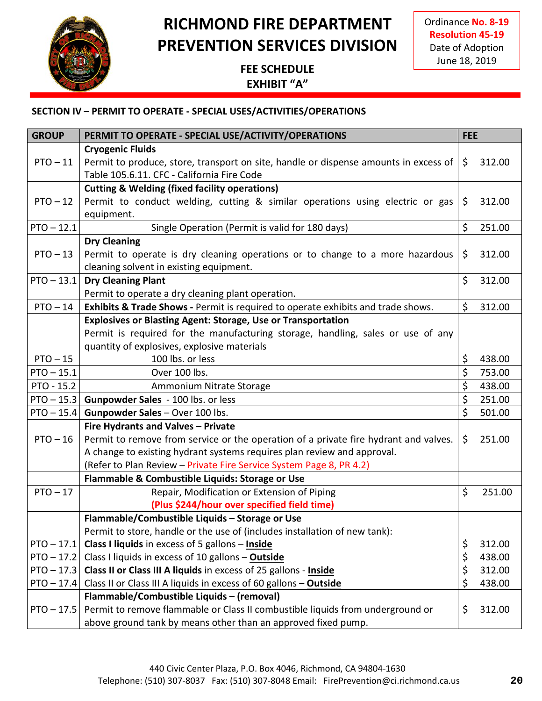

Ordinance **No. 8-19 Resolution 45-19** Date of Adoption June 18, 2019

### **FEE SCHEDULE EXHIBIT "A"**

| <b>GROUP</b> | PERMIT TO OPERATE - SPECIAL USE/ACTIVITY/OPERATIONS                                  | <b>FEE</b> |        |
|--------------|--------------------------------------------------------------------------------------|------------|--------|
|              | <b>Cryogenic Fluids</b>                                                              |            |        |
| $PTO - 11$   | Permit to produce, store, transport on site, handle or dispense amounts in excess of | \$         | 312.00 |
|              | Table 105.6.11. CFC - California Fire Code                                           |            |        |
|              | <b>Cutting &amp; Welding (fixed facility operations)</b>                             |            |        |
| $PTO - 12$   | Permit to conduct welding, cutting & similar operations using electric or gas        | \$         | 312.00 |
|              | equipment.                                                                           |            |        |
| $PTO - 12.1$ | Single Operation (Permit is valid for 180 days)                                      | \$         | 251.00 |
|              | <b>Dry Cleaning</b>                                                                  |            |        |
| $PTO - 13$   | Permit to operate is dry cleaning operations or to change to a more hazardous        | \$         | 312.00 |
|              | cleaning solvent in existing equipment.                                              |            |        |
| $PTO - 13.1$ | <b>Dry Cleaning Plant</b>                                                            | $\zeta$    | 312.00 |
|              | Permit to operate a dry cleaning plant operation.                                    |            |        |
| $PTO - 14$   | Exhibits & Trade Shows - Permit is required to operate exhibits and trade shows.     | \$         | 312.00 |
|              | <b>Explosives or Blasting Agent: Storage, Use or Transportation</b>                  |            |        |
|              | Permit is required for the manufacturing storage, handling, sales or use of any      |            |        |
|              | quantity of explosives, explosive materials                                          |            |        |
| $PTO - 15$   | 100 lbs. or less                                                                     | \$         | 438.00 |
| $PTO - 15.1$ | Over 100 lbs.                                                                        | \$         | 753.00 |
| PTO - 15.2   | Ammonium Nitrate Storage                                                             | \$         | 438.00 |
| $PTO - 15.3$ | Gunpowder Sales - 100 lbs. or less                                                   | \$         | 251.00 |
| $PTO - 15.4$ | Gunpowder Sales - Over 100 lbs.                                                      | \$         | 501.00 |
|              | Fire Hydrants and Valves - Private                                                   |            |        |
| $PTO - 16$   | Permit to remove from service or the operation of a private fire hydrant and valves. | \$         | 251.00 |
|              | A change to existing hydrant systems requires plan review and approval.              |            |        |
|              | (Refer to Plan Review - Private Fire Service System Page 8, PR 4.2)                  |            |        |
|              | Flammable & Combustible Liquids: Storage or Use                                      |            |        |
| $PTO - 17$   | Repair, Modification or Extension of Piping                                          | $\zeta$    | 251.00 |
|              | (Plus \$244/hour over specified field time)                                          |            |        |
|              | Flammable/Combustible Liquids - Storage or Use                                       |            |        |
|              | Permit to store, handle or the use of (includes installation of new tank):           |            |        |
| $PTO - 17.1$ | Class I liquids in excess of 5 gallons - Inside                                      | \$         | 312.00 |
| $PTO - 17.2$ | Class I liquids in excess of 10 gallons - Outside                                    | \$         | 438.00 |
| $PTO - 17.3$ | Class II or Class III A liquids in excess of 25 gallons - Inside                     | \$         | 312.00 |
| $PTO - 17.4$ | Class II or Class III A liquids in excess of 60 gallons - Outside                    | \$         | 438.00 |
|              | Flammable/Combustible Liquids - (removal)                                            |            |        |
| $PTO - 17.5$ | Permit to remove flammable or Class II combustible liquids from underground or       | \$         | 312.00 |
|              | above ground tank by means other than an approved fixed pump.                        |            |        |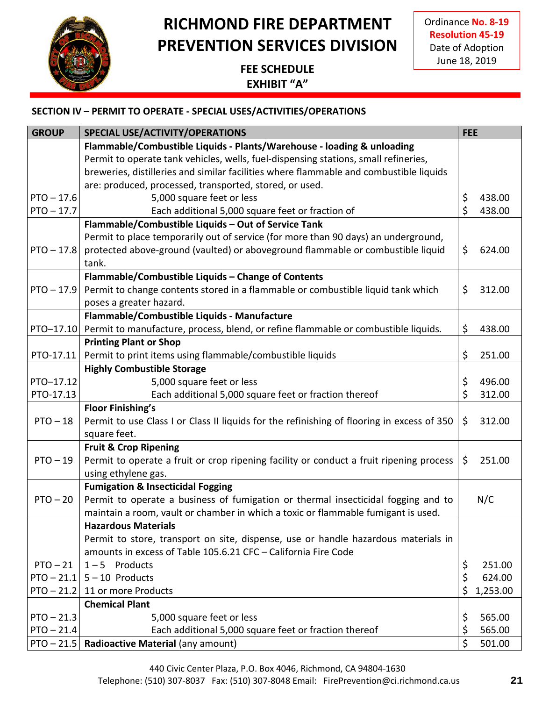

Ordinance **No. 8-19 Resolution 45-19** Date of Adoption June 18, 2019

### **FEE SCHEDULE EXHIBIT "A"**

# **SECTION IV – PERMIT TO OPERATE - SPECIAL USES/ACTIVITIES/OPERATIONS**

| <b>GROUP</b> | SPECIAL USE/ACTIVITY/OPERATIONS                                                            | <b>FEE</b> |          |
|--------------|--------------------------------------------------------------------------------------------|------------|----------|
|              | Flammable/Combustible Liquids - Plants/Warehouse - loading & unloading                     |            |          |
|              | Permit to operate tank vehicles, wells, fuel-dispensing stations, small refineries,        |            |          |
|              | breweries, distilleries and similar facilities where flammable and combustible liquids     |            |          |
|              | are: produced, processed, transported, stored, or used.                                    |            |          |
| $PTO - 17.6$ | 5,000 square feet or less                                                                  | \$         | 438.00   |
| $PTO - 17.7$ | Each additional 5,000 square feet or fraction of                                           | \$         | 438.00   |
|              | Flammable/Combustible Liquids - Out of Service Tank                                        |            |          |
|              | Permit to place temporarily out of service (for more than 90 days) an underground,         |            |          |
| $PTO - 17.8$ | protected above-ground (vaulted) or aboveground flammable or combustible liquid            | \$         | 624.00   |
|              | tank.                                                                                      |            |          |
|              | Flammable/Combustible Liquids - Change of Contents                                         |            |          |
| $PTO - 17.9$ | Permit to change contents stored in a flammable or combustible liquid tank which           | \$         | 312.00   |
|              | poses a greater hazard.                                                                    |            |          |
|              | Flammable/Combustible Liquids - Manufacture                                                |            |          |
| PTO-17.10    | Permit to manufacture, process, blend, or refine flammable or combustible liquids.         | \$         | 438.00   |
|              | <b>Printing Plant or Shop</b>                                                              |            |          |
| PTO-17.11    | Permit to print items using flammable/combustible liquids                                  | \$         | 251.00   |
|              | <b>Highly Combustible Storage</b>                                                          |            |          |
| PTO-17.12    | 5,000 square feet or less                                                                  | \$         | 496.00   |
| PTO-17.13    | Each additional 5,000 square feet or fraction thereof                                      | \$         | 312.00   |
|              | <b>Floor Finishing's</b>                                                                   |            |          |
| $PTO - 18$   | Permit to use Class I or Class II liquids for the refinishing of flooring in excess of 350 | \$         | 312.00   |
|              | square feet.                                                                               |            |          |
|              | <b>Fruit &amp; Crop Ripening</b>                                                           |            |          |
| $PTO - 19$   | Permit to operate a fruit or crop ripening facility or conduct a fruit ripening process    | \$         | 251.00   |
|              | using ethylene gas.                                                                        |            |          |
|              | <b>Fumigation &amp; Insecticidal Fogging</b>                                               |            |          |
| $PTO - 20$   | Permit to operate a business of fumigation or thermal insecticidal fogging and to          |            | N/C      |
|              | maintain a room, vault or chamber in which a toxic or flammable fumigant is used.          |            |          |
|              | <b>Hazardous Materials</b>                                                                 |            |          |
|              | Permit to store, transport on site, dispense, use or handle hazardous materials in         |            |          |
|              | amounts in excess of Table 105.6.21 CFC - California Fire Code                             |            |          |
| $PTO - 21$   | $1 - 5$ Products                                                                           | \$         | 251.00   |
|              | $PTO - 21.1$ 5 - 10 Products                                                               | \$         | 624.00   |
| $PTO - 21.2$ | 11 or more Products                                                                        | \$         | 1,253.00 |
|              | <b>Chemical Plant</b>                                                                      |            |          |
| $PTO - 21.3$ | 5,000 square feet or less                                                                  | \$         | 565.00   |
| $PTO - 21.4$ | Each additional 5,000 square feet or fraction thereof                                      | \$         | 565.00   |
|              | PTO - 21.5   Radioactive Material (any amount)                                             | \$         | 501.00   |

440 Civic Center Plaza, P.O. Box 4046, Richmond, CA 94804-1630

Telephone: (510) 307-8037 Fax: (510) 307-8048 Email: FirePrevention@ci.richmond.ca.us **21**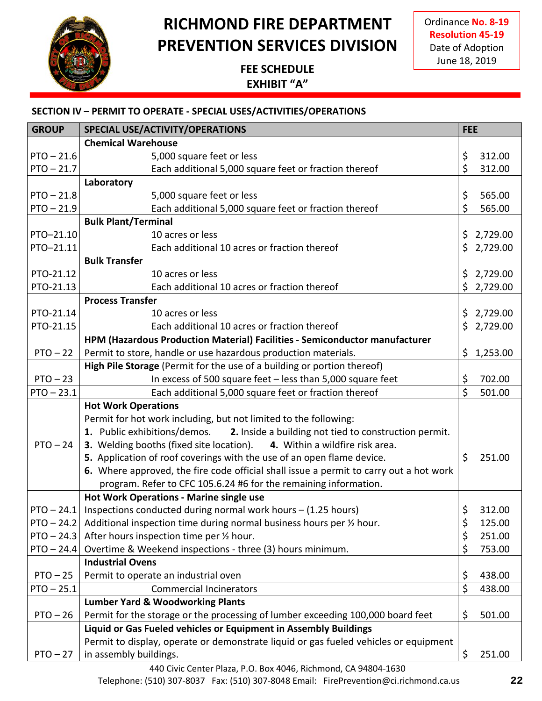

Ordinance **No. 8-19 Resolution 45-19** Date of Adoption June 18, 2019

### **FEE SCHEDULE EXHIBIT "A"**

#### **SECTION IV – PERMIT TO OPERATE - SPECIAL USES/ACTIVITIES/OPERATIONS**

| <b>GROUP</b> | <b>SPECIAL USE/ACTIVITY/OPERATIONS</b>                                                 | <b>FEE</b> |          |
|--------------|----------------------------------------------------------------------------------------|------------|----------|
|              | <b>Chemical Warehouse</b>                                                              |            |          |
| $PTO - 21.6$ | 5,000 square feet or less                                                              | \$         | 312.00   |
| $PTO - 21.7$ | Each additional 5,000 square feet or fraction thereof                                  | \$         | 312.00   |
|              | Laboratory                                                                             |            |          |
| $PTO - 21.8$ | 5,000 square feet or less                                                              | \$         | 565.00   |
| $PTO - 21.9$ | Each additional 5,000 square feet or fraction thereof                                  | \$         | 565.00   |
|              | <b>Bulk Plant/Terminal</b>                                                             |            |          |
| PTO-21.10    | 10 acres or less                                                                       | \$         | 2,729.00 |
| PTO-21.11    | Each additional 10 acres or fraction thereof                                           | \$         | 2,729.00 |
|              | <b>Bulk Transfer</b>                                                                   |            |          |
| PTO-21.12    | 10 acres or less                                                                       | \$         | 2,729.00 |
| PTO-21.13    | Each additional 10 acres or fraction thereof                                           | \$2,729.00 |          |
|              | <b>Process Transfer</b>                                                                |            |          |
| PTO-21.14    | 10 acres or less                                                                       | \$         | 2,729.00 |
| PTO-21.15    | Each additional 10 acres or fraction thereof                                           | \$2,729.00 |          |
|              | HPM (Hazardous Production Material) Facilities - Semiconductor manufacturer            |            |          |
| $PTO - 22$   | Permit to store, handle or use hazardous production materials.                         | \$1,253.00 |          |
|              | High Pile Storage (Permit for the use of a building or portion thereof)                |            |          |
| $PTO - 23$   | In excess of 500 square feet - less than 5,000 square feet                             | \$         | 702.00   |
| $PTO - 23.1$ | Each additional 5,000 square feet or fraction thereof                                  | \$         | 501.00   |
|              | <b>Hot Work Operations</b>                                                             |            |          |
|              | Permit for hot work including, but not limited to the following:                       |            |          |
|              | 1. Public exhibitions/demos.<br>2. Inside a building not tied to construction permit.  |            |          |
| $PTO - 24$   | 3. Welding booths (fixed site location).<br>4. Within a wildfire risk area.            |            |          |
|              | 5. Application of roof coverings with the use of an open flame device.                 | \$         | 251.00   |
|              | 6. Where approved, the fire code official shall issue a permit to carry out a hot work |            |          |
|              | program. Refer to CFC 105.6.24 #6 for the remaining information.                       |            |          |
|              | <b>Hot Work Operations - Marine single use</b>                                         |            |          |
| $PTO - 24.1$ | Inspections conducted during normal work hours - (1.25 hours)                          | \$         | 312.00   |
| $PTO - 24.2$ | Additional inspection time during normal business hours per 1/2 hour.                  | \$         | 125.00   |
| $PTO - 24.3$ | After hours inspection time per 1/2 hour.                                              | \$         | 251.00   |
| $PTO - 24.4$ | Overtime & Weekend inspections - three (3) hours minimum.                              | \$         | 753.00   |
|              | <b>Industrial Ovens</b>                                                                |            |          |
| $PTO - 25$   | Permit to operate an industrial oven                                                   | \$         | 438.00   |
| $PTO - 25.1$ | <b>Commercial Incinerators</b>                                                         | \$         | 438.00   |
|              | <b>Lumber Yard &amp; Woodworking Plants</b>                                            |            |          |
| $PTO - 26$   | Permit for the storage or the processing of lumber exceeding 100,000 board feet        | \$         | 501.00   |
|              | Liquid or Gas Fueled vehicles or Equipment in Assembly Buildings                       |            |          |
|              | Permit to display, operate or demonstrate liquid or gas fueled vehicles or equipment   |            |          |
| $PTO - 27$   | in assembly buildings.                                                                 | \$         | 251.00   |

440 Civic Center Plaza, P.O. Box 4046, Richmond, CA 94804-1630 Telephone: (510) 307-8037 Fax: (510) 307-8048 Email: FirePrevention@ci.richmond.ca.us **22**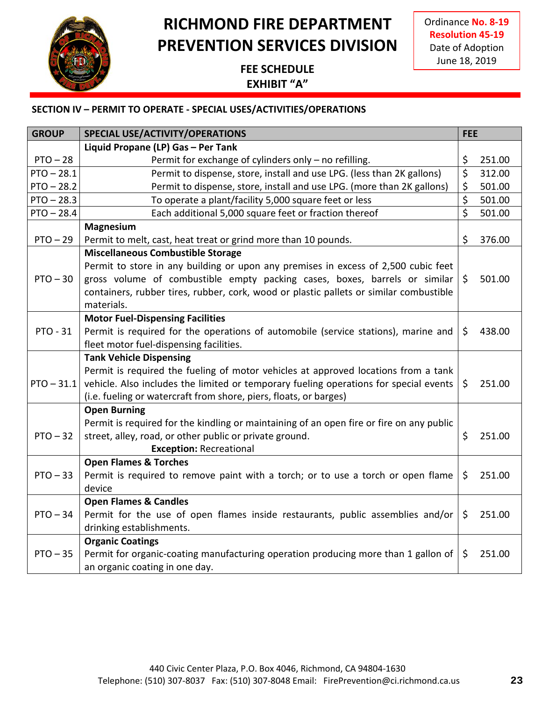

Ordinance **No. 8-19 Resolution 45-19** Date of Adoption June 18, 2019

### **FEE SCHEDULE EXHIBIT "A"**

| <b>GROUP</b>    | SPECIAL USE/ACTIVITY/OPERATIONS                                                          | <b>FEE</b>       |        |
|-----------------|------------------------------------------------------------------------------------------|------------------|--------|
|                 | Liquid Propane (LP) Gas - Per Tank                                                       |                  |        |
| $PTO - 28$      | Permit for exchange of cylinders only - no refilling.                                    | \$               | 251.00 |
| $PTO - 28.1$    | Permit to dispense, store, install and use LPG. (less than 2K gallons)                   | $\overline{\xi}$ | 312.00 |
| $PTO - 28.2$    | Permit to dispense, store, install and use LPG. (more than 2K gallons)                   | \$               | 501.00 |
| $PTO - 28.3$    | To operate a plant/facility 5,000 square feet or less                                    | $\overline{\xi}$ | 501.00 |
| $PTO - 28.4$    | Each additional 5,000 square feet or fraction thereof                                    | \$               | 501.00 |
|                 | <b>Magnesium</b>                                                                         |                  |        |
| $PTO - 29$      | Permit to melt, cast, heat treat or grind more than 10 pounds.                           | \$               | 376.00 |
|                 | <b>Miscellaneous Combustible Storage</b>                                                 |                  |        |
|                 | Permit to store in any building or upon any premises in excess of 2,500 cubic feet       |                  |        |
| $PTO - 30$      | gross volume of combustible empty packing cases, boxes, barrels or similar               | \$               | 501.00 |
|                 | containers, rubber tires, rubber, cork, wood or plastic pallets or similar combustible   |                  |        |
|                 | materials.                                                                               |                  |        |
|                 | <b>Motor Fuel-Dispensing Facilities</b>                                                  |                  |        |
| <b>PTO - 31</b> | Permit is required for the operations of automobile (service stations), marine and       | \$               | 438.00 |
|                 | fleet motor fuel-dispensing facilities.                                                  |                  |        |
|                 | <b>Tank Vehicle Dispensing</b>                                                           |                  |        |
|                 | Permit is required the fueling of motor vehicles at approved locations from a tank       |                  |        |
| $PTO - 31.1$    | vehicle. Also includes the limited or temporary fueling operations for special events    | \$               | 251.00 |
|                 | (i.e. fueling or watercraft from shore, piers, floats, or barges)                        |                  |        |
|                 | <b>Open Burning</b>                                                                      |                  |        |
|                 | Permit is required for the kindling or maintaining of an open fire or fire on any public |                  |        |
| $PTO - 32$      | street, alley, road, or other public or private ground.                                  | \$               | 251.00 |
|                 | <b>Exception: Recreational</b>                                                           |                  |        |
|                 | <b>Open Flames &amp; Torches</b>                                                         |                  |        |
| $PTO - 33$      | Permit is required to remove paint with a torch; or to use a torch or open flame         | \$               | 251.00 |
|                 | device                                                                                   |                  |        |
|                 | <b>Open Flames &amp; Candles</b>                                                         |                  |        |
| $PTO - 34$      | Permit for the use of open flames inside restaurants, public assemblies and/or           | \$               | 251.00 |
|                 | drinking establishments.                                                                 |                  |        |
|                 | <b>Organic Coatings</b>                                                                  |                  |        |
| $PTO - 35$      | Permit for organic-coating manufacturing operation producing more than 1 gallon of       | \$               | 251.00 |
|                 | an organic coating in one day.                                                           |                  |        |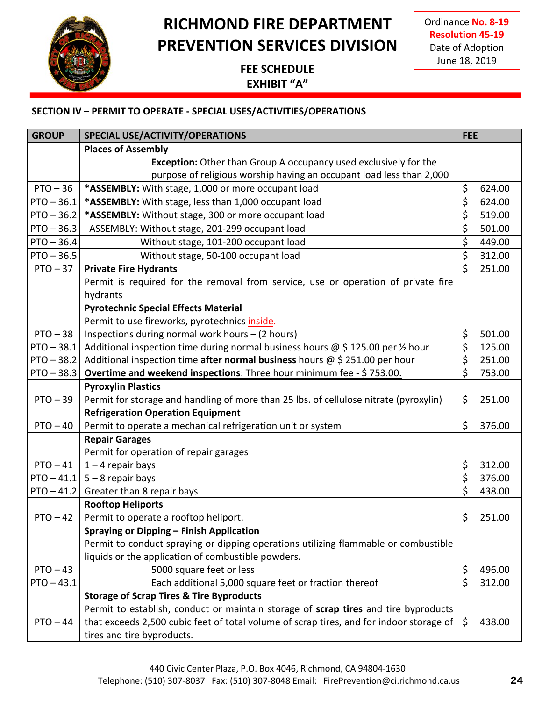

Ordinance **No. 8-19 Resolution 45-19** Date of Adoption June 18, 2019

### **FEE SCHEDULE EXHIBIT "A"**

| <b>GROUP</b> | <b>SPECIAL USE/ACTIVITY/OPERATIONS</b>                                                  | <b>FEE</b> |        |
|--------------|-----------------------------------------------------------------------------------------|------------|--------|
|              | <b>Places of Assembly</b>                                                               |            |        |
|              | <b>Exception:</b> Other than Group A occupancy used exclusively for the                 |            |        |
|              | purpose of religious worship having an occupant load less than 2,000                    |            |        |
| $PTO - 36$   | *ASSEMBLY: With stage, 1,000 or more occupant load                                      | \$         | 624.00 |
| $PTO - 36.1$ | *ASSEMBLY: With stage, less than 1,000 occupant load                                    | \$         | 624.00 |
| $PTO - 36.2$ | *ASSEMBLY: Without stage, 300 or more occupant load                                     | \$         | 519.00 |
| $PTO - 36.3$ | ASSEMBLY: Without stage, 201-299 occupant load                                          | \$         | 501.00 |
| $PTO - 36.4$ | Without stage, 101-200 occupant load                                                    | \$         | 449.00 |
| $PTO - 36.5$ | Without stage, 50-100 occupant load                                                     | \$         | 312.00 |
| $PTO - 37$   | <b>Private Fire Hydrants</b>                                                            | \$         | 251.00 |
|              | Permit is required for the removal from service, use or operation of private fire       |            |        |
|              | hydrants                                                                                |            |        |
|              | <b>Pyrotechnic Special Effects Material</b>                                             |            |        |
|              | Permit to use fireworks, pyrotechnics inside.                                           |            |        |
| $PTO - 38$   | Inspections during normal work hours - (2 hours)                                        | \$         | 501.00 |
| $PTO - 38.1$ | Additional inspection time during normal business hours @ \$125.00 per 1/2 hour         | \$         | 125.00 |
| $PTO - 38.2$ | Additional inspection time after normal business hours $\omega$ \$ 251.00 per hour      | \$         | 251.00 |
| $PTO - 38.3$ | Overtime and weekend inspections: Three hour minimum fee - \$753.00.                    | \$         | 753.00 |
|              | <b>Pyroxylin Plastics</b>                                                               |            |        |
| $PTO - 39$   | Permit for storage and handling of more than 25 lbs. of cellulose nitrate (pyroxylin)   | \$         | 251.00 |
|              | <b>Refrigeration Operation Equipment</b>                                                |            |        |
| $PTO - 40$   | Permit to operate a mechanical refrigeration unit or system                             | \$         | 376.00 |
|              | <b>Repair Garages</b>                                                                   |            |        |
|              | Permit for operation of repair garages                                                  |            |        |
| $PTO - 41$   | $1 - 4$ repair bays                                                                     | \$         | 312.00 |
| $PTO - 41.1$ | $5 - 8$ repair bays                                                                     | \$         | 376.00 |
| $PTO - 41.2$ | Greater than 8 repair bays                                                              | \$         | 438.00 |
|              | <b>Rooftop Heliports</b>                                                                |            |        |
| $PTO - 42$   | Permit to operate a rooftop heliport.                                                   | \$         | 251.00 |
|              | Spraying or Dipping - Finish Application                                                |            |        |
|              | Permit to conduct spraying or dipping operations utilizing flammable or combustible     |            |        |
|              | liquids or the application of combustible powders.                                      |            |        |
| $PTO - 43$   | 5000 square feet or less                                                                | \$         | 496.00 |
| $PTO - 43.1$ | Each additional 5,000 square feet or fraction thereof                                   | \$         | 312.00 |
|              | <b>Storage of Scrap Tires &amp; Tire Byproducts</b>                                     |            |        |
|              | Permit to establish, conduct or maintain storage of scrap tires and tire byproducts     |            |        |
| $PTO - 44$   | that exceeds 2,500 cubic feet of total volume of scrap tires, and for indoor storage of | \$         | 438.00 |
|              | tires and tire byproducts.                                                              |            |        |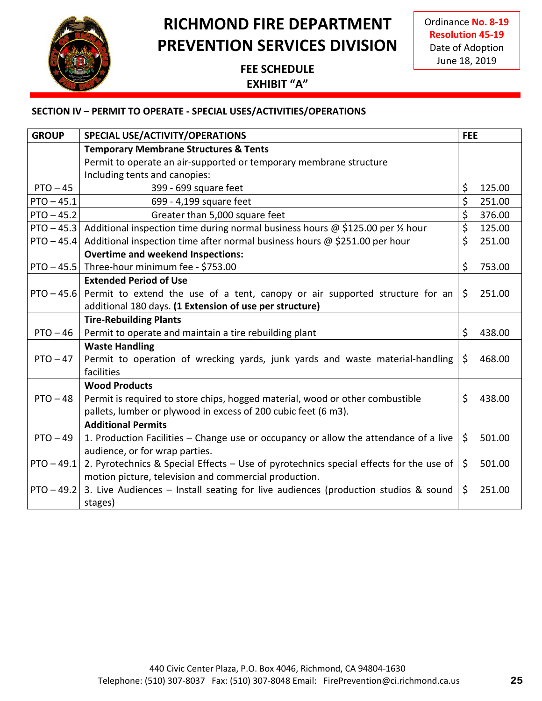

Ordinance **No. 8-19 Resolution 45-19** Date of Adoption June 18, 2019

### **FEE SCHEDULE EXHIBIT "A"**

| <b>GROUP</b> | SPECIAL USE/ACTIVITY/OPERATIONS                                                        | <b>FEE</b> |        |
|--------------|----------------------------------------------------------------------------------------|------------|--------|
|              | <b>Temporary Membrane Structures &amp; Tents</b>                                       |            |        |
|              | Permit to operate an air-supported or temporary membrane structure                     |            |        |
|              | Including tents and canopies:                                                          |            |        |
| $PTO - 45$   | 399 - 699 square feet                                                                  | \$         | 125.00 |
| $PTO - 45.1$ | 699 - 4,199 square feet                                                                | \$         | 251.00 |
| $PTO - 45.2$ | Greater than 5,000 square feet                                                         | \$         | 376.00 |
| $PTO - 45.3$ | Additional inspection time during normal business hours @ \$125.00 per 1/2 hour        | \$         | 125.00 |
| $PTO - 45.4$ | Additional inspection time after normal business hours $\omega$ \$251.00 per hour      | \$         | 251.00 |
|              | <b>Overtime and weekend Inspections:</b>                                               |            |        |
| $PTO - 45.5$ | Three-hour minimum fee - \$753.00                                                      | \$         | 753.00 |
|              | <b>Extended Period of Use</b>                                                          |            |        |
| $PTO - 45.6$ | Permit to extend the use of a tent, canopy or air supported structure for an           | \$         | 251.00 |
|              | additional 180 days. (1 Extension of use per structure)                                |            |        |
|              | <b>Tire-Rebuilding Plants</b>                                                          |            |        |
| $PTO - 46$   | Permit to operate and maintain a tire rebuilding plant                                 | \$         | 438.00 |
|              | <b>Waste Handling</b>                                                                  |            |        |
| $PTO - 47$   | Permit to operation of wrecking yards, junk yards and waste material-handling          | \$         | 468.00 |
|              | facilities                                                                             |            |        |
|              | <b>Wood Products</b>                                                                   |            |        |
| $PTO - 48$   | Permit is required to store chips, hogged material, wood or other combustible          | \$         | 438.00 |
|              | pallets, lumber or plywood in excess of 200 cubic feet (6 m3).                         |            |        |
|              | <b>Additional Permits</b>                                                              |            |        |
| $PTO - 49$   | 1. Production Facilities - Change use or occupancy or allow the attendance of a live   | \$         | 501.00 |
|              | audience, or for wrap parties.                                                         |            |        |
| $PTO - 49.1$ | 2. Pyrotechnics & Special Effects – Use of pyrotechnics special effects for the use of | \$         | 501.00 |
|              | motion picture, television and commercial production.                                  |            |        |
| $PTO - 49.2$ | 3. Live Audiences - Install seating for live audiences (production studios & sound     | \$         | 251.00 |
|              | stages)                                                                                |            |        |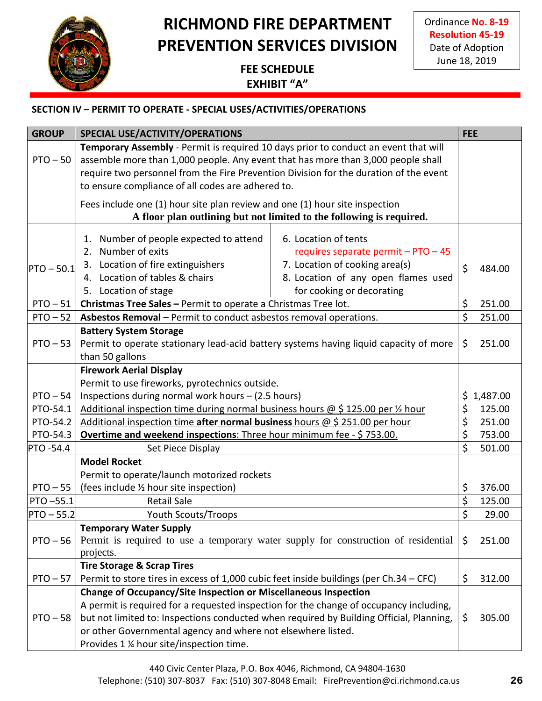

Ordinance **No. 8-19 Resolution 45-19** Date of Adoption June 18, 2019

### **FEE SCHEDULE EXHIBIT "A"**

# **SECTION IV – PERMIT TO OPERATE - SPECIAL USES/ACTIVITIES/OPERATIONS**

| <b>GROUP</b> | SPECIAL USE/ACTIVITY/OPERATIONS                                                                      |                                                                      | <b>FEE</b>             |            |
|--------------|------------------------------------------------------------------------------------------------------|----------------------------------------------------------------------|------------------------|------------|
|              | Temporary Assembly - Permit is required 10 days prior to conduct an event that will                  |                                                                      |                        |            |
| $PTO - 50$   | assemble more than 1,000 people. Any event that has more than 3,000 people shall                     |                                                                      |                        |            |
|              | require two personnel from the Fire Prevention Division for the duration of the event                |                                                                      |                        |            |
|              | to ensure compliance of all codes are adhered to.                                                    |                                                                      |                        |            |
|              | Fees include one (1) hour site plan review and one (1) hour site inspection                          |                                                                      |                        |            |
|              |                                                                                                      | A floor plan outlining but not limited to the following is required. |                        |            |
|              |                                                                                                      |                                                                      |                        |            |
|              | Number of people expected to attend<br>1.                                                            | 6. Location of tents                                                 |                        |            |
|              | 2. Number of exits                                                                                   | requires separate permit - PTO - 45                                  |                        |            |
| $PTO - 50.1$ | 3. Location of fire extinguishers                                                                    | 7. Location of cooking area(s)                                       | \$                     | 484.00     |
|              | 4. Location of tables & chairs                                                                       | 8. Location of any open flames used                                  |                        |            |
|              | Location of stage<br>5.                                                                              | for cooking or decorating                                            |                        |            |
| $PTO - 51$   | Christmas Tree Sales - Permit to operate a Christmas Tree lot.                                       |                                                                      | \$                     | 251.00     |
| $PTO - 52$   | Asbestos Removal - Permit to conduct asbestos removal operations.                                    |                                                                      | $\zeta$                | 251.00     |
|              | <b>Battery System Storage</b>                                                                        |                                                                      |                        |            |
| $PTO - 53$   | Permit to operate stationary lead-acid battery systems having liquid capacity of more                |                                                                      | \$                     | 251.00     |
|              | than 50 gallons                                                                                      |                                                                      |                        |            |
|              | <b>Firework Aerial Display</b>                                                                       |                                                                      |                        |            |
| $PTO - 54$   | Permit to use fireworks, pyrotechnics outside.<br>Inspections during normal work hours - (2.5 hours) |                                                                      |                        | \$1,487.00 |
| PTO-54.1     | Additional inspection time during normal business hours @ \$125.00 per 1/2 hour                      |                                                                      | \$                     | 125.00     |
| PTO-54.2     | Additional inspection time after normal business hours @ \$ 251.00 per hour                          |                                                                      | \$                     | 251.00     |
| PTO-54.3     | Overtime and weekend inspections: Three hour minimum fee - \$753.00.                                 |                                                                      | \$                     | 753.00     |
| PTO -54.4    | Set Piece Display                                                                                    |                                                                      | \$                     | 501.00     |
|              | <b>Model Rocket</b>                                                                                  |                                                                      |                        |            |
|              | Permit to operate/launch motorized rockets                                                           |                                                                      |                        |            |
| $PTO - 55$   | (fees include 1/2 hour site inspection)                                                              |                                                                      | \$                     | 376.00     |
| PTO-55.1     | <b>Retail Sale</b>                                                                                   |                                                                      | $\overline{\varsigma}$ | 125.00     |
| $PTO - 55.2$ | <b>Youth Scouts/Troops</b>                                                                           |                                                                      | \$                     | 29.00      |
|              | <b>Temporary Water Supply</b>                                                                        |                                                                      |                        |            |
| $PTO - 56$   | Permit is required to use a temporary water supply for construction of residential                   |                                                                      | \$                     | 251.00     |
|              | projects.                                                                                            |                                                                      |                        |            |
|              | <b>Tire Storage &amp; Scrap Tires</b>                                                                |                                                                      |                        |            |
| $PTO - 57$   | Permit to store tires in excess of 1,000 cubic feet inside buildings (per Ch.34 – CFC)               |                                                                      | \$                     | 312.00     |
|              | Change of Occupancy/Site Inspection or Miscellaneous Inspection                                      |                                                                      |                        |            |
|              | A permit is required for a requested inspection for the change of occupancy including,               |                                                                      |                        |            |
| $PTO - 58$   | but not limited to: Inspections conducted when required by Building Official, Planning,              |                                                                      | \$                     | 305.00     |
|              | or other Governmental agency and where not elsewhere listed.                                         |                                                                      |                        |            |
|              | Provides 1 % hour site/inspection time.                                                              |                                                                      |                        |            |

440 Civic Center Plaza, P.O. Box 4046, Richmond, CA 94804-1630

Telephone: (510) 307-8037 Fax: (510) 307-8048 Email: FirePrevention@ci.richmond.ca.us **26**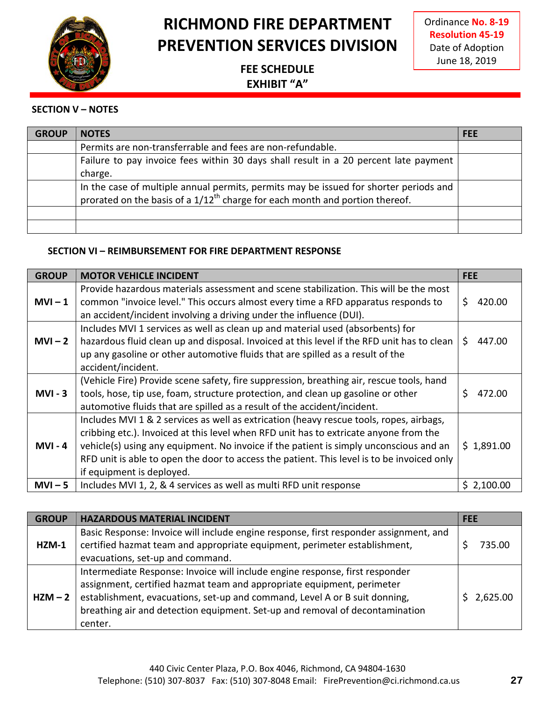

Ordinance **No. 8-19 Resolution 45-19** Date of Adoption June 18, 2019

### **FEE SCHEDULE EXHIBIT "A"**

#### **SECTION V – NOTES**

| <b>GROUP</b> | <b>NOTES</b>                                                                          | <b>FFF</b> |
|--------------|---------------------------------------------------------------------------------------|------------|
|              | Permits are non-transferrable and fees are non-refundable.                            |            |
|              | Failure to pay invoice fees within 30 days shall result in a 20 percent late payment  |            |
|              | charge.                                                                               |            |
|              | In the case of multiple annual permits, permits may be issued for shorter periods and |            |
|              | prorated on the basis of a $1/12^{th}$ charge for each month and portion thereof.     |            |
|              |                                                                                       |            |
|              |                                                                                       |            |

#### **SECTION VI – REIMBURSEMENT FOR FIRE DEPARTMENT RESPONSE**

| <b>GROUP</b> | <b>MOTOR VEHICLE INCIDENT</b>                                                                                                                                                                                                                                                                                                                                                                         | <b>FEE</b>   |
|--------------|-------------------------------------------------------------------------------------------------------------------------------------------------------------------------------------------------------------------------------------------------------------------------------------------------------------------------------------------------------------------------------------------------------|--------------|
| $MVI - 1$    | Provide hazardous materials assessment and scene stabilization. This will be the most<br>common "invoice level." This occurs almost every time a RFD apparatus responds to<br>an accident/incident involving a driving under the influence (DUI).                                                                                                                                                     | Ś.<br>420.00 |
| $MVI - 2$    | Includes MVI 1 services as well as clean up and material used (absorbents) for<br>hazardous fluid clean up and disposal. Invoiced at this level if the RFD unit has to clean<br>up any gasoline or other automotive fluids that are spilled as a result of the<br>accident/incident.                                                                                                                  | S.<br>447.00 |
| $MVI - 3$    | (Vehicle Fire) Provide scene safety, fire suppression, breathing air, rescue tools, hand<br>tools, hose, tip use, foam, structure protection, and clean up gasoline or other<br>automotive fluids that are spilled as a result of the accident/incident.                                                                                                                                              | \$<br>472.00 |
| $MVI - 4$    | Includes MVI 1 & 2 services as well as extrication (heavy rescue tools, ropes, airbags,<br>cribbing etc.). Invoiced at this level when RFD unit has to extricate anyone from the<br>vehicle(s) using any equipment. No invoice if the patient is simply unconscious and an<br>RFD unit is able to open the door to access the patient. This level is to be invoiced only<br>if equipment is deployed. | \$1,891.00   |
| $MVI - 5$    | Includes MVI 1, 2, & 4 services as well as multi RFD unit response                                                                                                                                                                                                                                                                                                                                    | \$2,100.00   |

| <b>GROUP</b> | <b>HAZARDOUS MATERIAL INCIDENT</b>                                                                                                                                                                                                                                                                                              | <b>FEE</b> |
|--------------|---------------------------------------------------------------------------------------------------------------------------------------------------------------------------------------------------------------------------------------------------------------------------------------------------------------------------------|------------|
| $HZM-1$      | Basic Response: Invoice will include engine response, first responder assignment, and<br>certified hazmat team and appropriate equipment, perimeter establishment,                                                                                                                                                              | 735.00     |
|              | evacuations, set-up and command.                                                                                                                                                                                                                                                                                                |            |
| $HZM - 2$    | Intermediate Response: Invoice will include engine response, first responder<br>assignment, certified hazmat team and appropriate equipment, perimeter<br>establishment, evacuations, set-up and command, Level A or B suit donning,<br>breathing air and detection equipment. Set-up and removal of decontamination<br>center. | \$2,625.00 |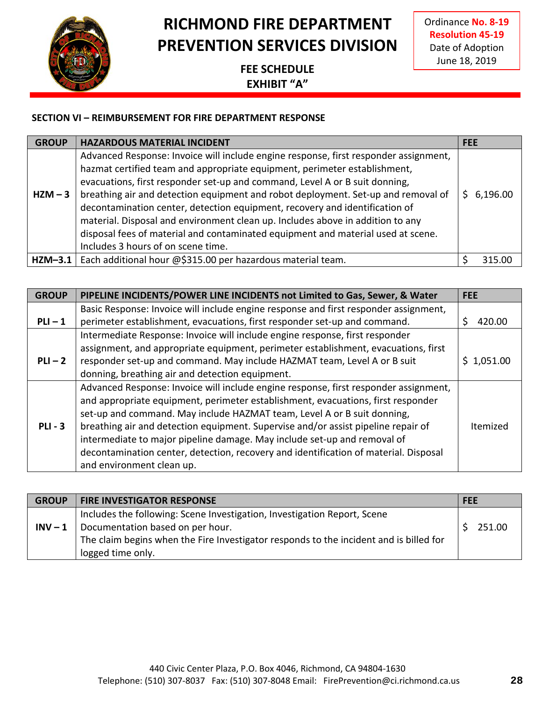

Ordinance **No. 8-19 Resolution 45-19** Date of Adoption June 18, 2019

### **FEE SCHEDULE EXHIBIT "A"**

#### **SECTION VI – REIMBURSEMENT FOR FIRE DEPARTMENT RESPONSE**

| <b>GROUP</b> | <b>HAZARDOUS MATERIAL INCIDENT</b>                                                                                                                                                                                                                                                                                                                                                                                                                                                                                                                                                                                               | <b>FEE</b> |            |
|--------------|----------------------------------------------------------------------------------------------------------------------------------------------------------------------------------------------------------------------------------------------------------------------------------------------------------------------------------------------------------------------------------------------------------------------------------------------------------------------------------------------------------------------------------------------------------------------------------------------------------------------------------|------------|------------|
| $HZM - 3$    | Advanced Response: Invoice will include engine response, first responder assignment,<br>hazmat certified team and appropriate equipment, perimeter establishment,<br>evacuations, first responder set-up and command, Level A or B suit donning,<br>breathing air and detection equipment and robot deployment. Set-up and removal of<br>decontamination center, detection equipment, recovery and identification of<br>material. Disposal and environment clean up. Includes above in addition to any<br>disposal fees of material and contaminated equipment and material used at scene.<br>Includes 3 hours of on scene time. |            | \$6,196.00 |
| $HZM-3.1$    | Each additional hour @\$315.00 per hazardous material team.                                                                                                                                                                                                                                                                                                                                                                                                                                                                                                                                                                      |            | 315.00     |

| <b>GROUP</b> | PIPELINE INCIDENTS/POWER LINE INCIDENTS not Limited to Gas, Sewer, & Water                                                                                                                                                                                                                                                                                                                                                                                                                                                                | <b>FEE</b>  |
|--------------|-------------------------------------------------------------------------------------------------------------------------------------------------------------------------------------------------------------------------------------------------------------------------------------------------------------------------------------------------------------------------------------------------------------------------------------------------------------------------------------------------------------------------------------------|-------------|
|              | Basic Response: Invoice will include engine response and first responder assignment,                                                                                                                                                                                                                                                                                                                                                                                                                                                      |             |
| $PLI - 1$    | perimeter establishment, evacuations, first responder set-up and command.                                                                                                                                                                                                                                                                                                                                                                                                                                                                 | S<br>420.00 |
|              | Intermediate Response: Invoice will include engine response, first responder                                                                                                                                                                                                                                                                                                                                                                                                                                                              |             |
|              | assignment, and appropriate equipment, perimeter establishment, evacuations, first                                                                                                                                                                                                                                                                                                                                                                                                                                                        |             |
| $PLI - 2$    | responder set-up and command. May include HAZMAT team, Level A or B suit                                                                                                                                                                                                                                                                                                                                                                                                                                                                  | \$1,051.00  |
|              | donning, breathing air and detection equipment.                                                                                                                                                                                                                                                                                                                                                                                                                                                                                           |             |
| $PLI - 3$    | Advanced Response: Invoice will include engine response, first responder assignment,<br>and appropriate equipment, perimeter establishment, evacuations, first responder<br>set-up and command. May include HAZMAT team, Level A or B suit donning,<br>breathing air and detection equipment. Supervise and/or assist pipeline repair of<br>intermediate to major pipeline damage. May include set-up and removal of<br>decontamination center, detection, recovery and identification of material. Disposal<br>and environment clean up. | Itemized    |

| <b>GROUP</b> | <b>FIRE INVESTIGATOR RESPONSE</b>                                                      | <b>FEE</b> |
|--------------|----------------------------------------------------------------------------------------|------------|
|              | Includes the following: Scene Investigation, Investigation Report, Scene               |            |
| $INV - 1$    | Documentation based on per hour.                                                       | 251.00     |
|              | The claim begins when the Fire Investigator responds to the incident and is billed for |            |
|              | logged time only.                                                                      |            |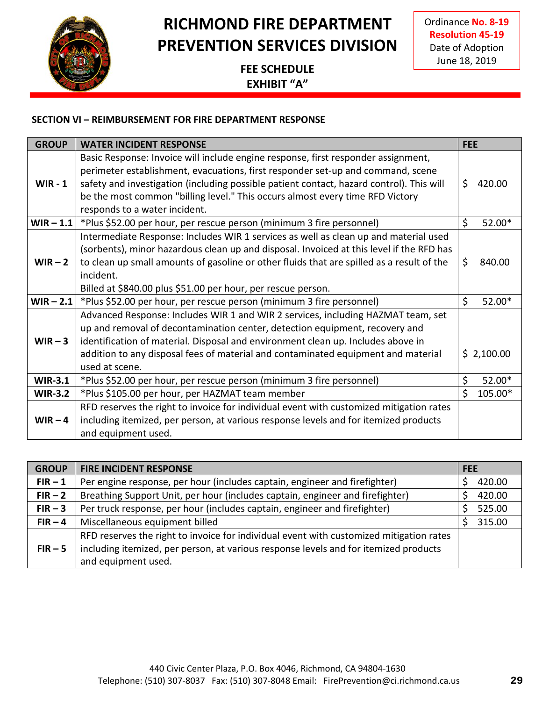

Ordinance **No. 8-19 Resolution 45-19** Date of Adoption June 18, 2019

### **FEE SCHEDULE EXHIBIT "A"**

#### **SECTION VI – REIMBURSEMENT FOR FIRE DEPARTMENT RESPONSE**

| <b>GROUP</b>   | <b>WATER INCIDENT RESPONSE</b>                                                                                                                                                                                                                                                                                                                             | <b>FEE</b>                    |
|----------------|------------------------------------------------------------------------------------------------------------------------------------------------------------------------------------------------------------------------------------------------------------------------------------------------------------------------------------------------------------|-------------------------------|
|                | Basic Response: Invoice will include engine response, first responder assignment,<br>perimeter establishment, evacuations, first responder set-up and command, scene                                                                                                                                                                                       |                               |
| $WIR - 1$      | safety and investigation (including possible patient contact, hazard control). This will<br>be the most common "billing level." This occurs almost every time RFD Victory<br>responds to a water incident.                                                                                                                                                 | \$<br>420.00                  |
|                | <b>WIR – 1.1</b> *Plus \$52.00 per hour, per rescue person (minimum 3 fire personnel)                                                                                                                                                                                                                                                                      | \$<br>52.00*                  |
| $WIR - 2$      | Intermediate Response: Includes WIR 1 services as well as clean up and material used<br>(sorbents), minor hazardous clean up and disposal. Invoiced at this level if the RFD has<br>to clean up small amounts of gasoline or other fluids that are spilled as a result of the<br>incident.<br>Billed at \$840.00 plus \$51.00 per hour, per rescue person. | \$<br>840.00                  |
| $WIR - 2.1$    | *Plus \$52.00 per hour, per rescue person (minimum 3 fire personnel)                                                                                                                                                                                                                                                                                       | \$<br>52.00*                  |
| $WIR-3$        | Advanced Response: Includes WIR 1 and WIR 2 services, including HAZMAT team, set<br>up and removal of decontamination center, detection equipment, recovery and<br>identification of material. Disposal and environment clean up. Includes above in<br>addition to any disposal fees of material and contaminated equipment and material<br>used at scene. | \$2,100.00                    |
| <b>WIR-3.1</b> | *Plus \$52.00 per hour, per rescue person (minimum 3 fire personnel)                                                                                                                                                                                                                                                                                       | \$<br>52.00*                  |
| <b>WIR-3.2</b> | *Plus \$105.00 per hour, per HAZMAT team member                                                                                                                                                                                                                                                                                                            | $\mathsf{\dot{S}}$<br>105.00* |
| $WIR - 4$      | RFD reserves the right to invoice for individual event with customized mitigation rates<br>including itemized, per person, at various response levels and for itemized products<br>and equipment used.                                                                                                                                                     |                               |

| <b>GROUP</b> | <b>FIRE INCIDENT RESPONSE</b>                                                           | <b>FEE</b> |
|--------------|-----------------------------------------------------------------------------------------|------------|
| $FIR - 1$    | Per engine response, per hour (includes captain, engineer and firefighter)              | 420.00     |
| $FIR - 2$    | Breathing Support Unit, per hour (includes captain, engineer and firefighter)           | 420.00     |
| $FIR - 3$    | Per truck response, per hour (includes captain, engineer and firefighter)               | 525.00     |
| $FIR - 4$    | Miscellaneous equipment billed                                                          | 315.00     |
|              | RFD reserves the right to invoice for individual event with customized mitigation rates |            |
| $FIR - 5$    | including itemized, per person, at various response levels and for itemized products    |            |
|              | and equipment used.                                                                     |            |